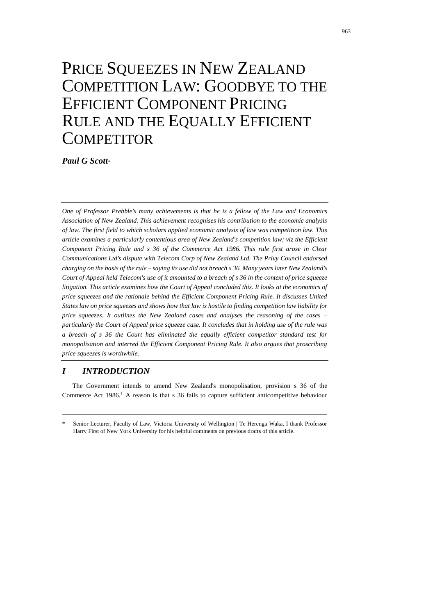# PRICE SQUEEZES IN NEW ZEALAND COMPETITION LAW: GOODBYE TO THE EFFICIENT COMPONENT PRICING RULE AND THE EQUALLY EFFICIENT **COMPETITOR**

*Paul G Scott*\*

*One of Professor Prebble's many achievements is that he is a fellow of the Law and Economics Association of New Zealand. This achievement recognises his contribution to the economic analysis of law. The first field to which scholars applied economic analysis of law was competition law. This article examines a particularly contentious area of New Zealand's competition law; viz the Efficient Component Pricing Rule and s 36 of the Commerce Act 1986. This rule first arose in Clear Communications Ltd's dispute with Telecom Corp of New Zealand Ltd. The Privy Council endorsed charging on the basis of the rule – saying its use did not breach s 36. Many years later New Zealand's Court of Appeal held Telecom's use of it amounted to a breach of s 36 in the context of price squeeze litigation. This article examines how the Court of Appeal concluded this. It looks at the economics of price squeezes and the rationale behind the Efficient Component Pricing Rule. It discusses United States law on price squeezes and shows how that law is hostile to finding competition law liability for price squeezes. It outlines the New Zealand cases and analyses the reasoning of the cases – particularly the Court of Appeal price squeeze case. It concludes that in holding use of the rule was a breach of s 36 the Court has eliminated the equally efficient competitor standard test for monopolisation and interred the Efficient Component Pricing Rule. It also argues that proscribing price squeezes is worthwhile.*

# *I INTRODUCTION*

The Government intends to amend New Zealand's monopolisation, provision s 36 of the Commerce Act  $1986<sup>1</sup>$  A reason is that s 36 fails to capture sufficient anticompetitive behaviour

Senior Lecturer, Faculty of Law, Victoria University of Wellington | Te Herenga Waka. I thank Professor Harry First of New York University for his helpful comments on previous drafts of this article.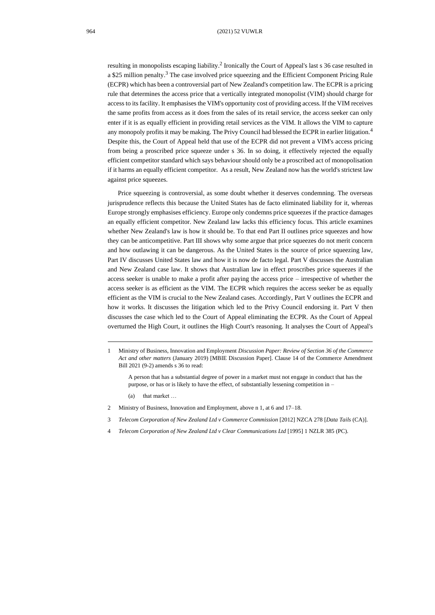<span id="page-1-1"></span>resulting in monopolists escaping liability.<sup>2</sup> Ironically the Court of Appeal's last s 36 case resulted in a \$25 million penalty.<sup>3</sup> The case involved price squeezing and the Efficient Component Pricing Rule (ECPR) which has been a controversial part of New Zealand's competition law. The ECPR is a pricing rule that determines the access price that a vertically integrated monopolist (VIM) should charge for access to its facility. It emphasises the VIM's opportunity cost of providing access. If the VIM receives the same profits from access as it does from the sales of its retail service, the access seeker can only enter if it is as equally efficient in providing retail services as the VIM. It allows the VIM to capture any monopoly profits it may be making. The Privy Council had blessed the ECPR in earlier litigation.<sup>4</sup> Despite this, the Court of Appeal held that use of the ECPR did not prevent a VIM's access pricing from being a proscribed price squeeze under s 36. In so doing, it effectively rejected the equally efficient competitor standard which says behaviour should only be a proscribed act of monopolisation if it harms an equally efficient competitor. As a result, New Zealand now has the world's strictest law against price squeezes.

<span id="page-1-0"></span>Price squeezing is controversial, as some doubt whether it deserves condemning. The overseas jurisprudence reflects this because the United States has de facto eliminated liability for it, whereas Europe strongly emphasises efficiency. Europe only condemns price squeezes if the practice damages an equally efficient competitor. New Zealand law lacks this efficiency focus. This article examines whether New Zealand's law is how it should be. To that end Part II outlines price squeezes and how they can be anticompetitive. Part III shows why some argue that price squeezes do not merit concern and how outlawing it can be dangerous. As the United States is the source of price squeezing law, Part IV discusses United States law and how it is now de facto legal. Part V discusses the Australian and New Zealand case law. It shows that Australian law in effect proscribes price squeezes if the access seeker is unable to make a profit after paying the access price – irrespective of whether the access seeker is as efficient as the VIM. The ECPR which requires the access seeker be as equally efficient as the VIM is crucial to the New Zealand cases. Accordingly, Part V outlines the ECPR and how it works. It discusses the litigation which led to the Privy Council endorsing it. Part V then discusses the case which led to the Court of Appeal eliminating the ECPR. As the Court of Appeal overturned the High Court, it outlines the High Court's reasoning. It analyses the Court of Appeal's

- (a) that market …
- 2 Ministry of Business, Innovation and Employment, above n 1, at 6 and 17–18.
- 3 *Telecom Corporation of New Zealand Ltd v Commerce Commission* [2012] NZCA 278 [*Data Tails* (CA)].
- 4 *Telecom Corporation of New Zealand Ltd v Clear Communications Ltd* [1995] 1 NZLR 385 (PC).

<sup>1</sup> Ministry of Business, Innovation and Employment *Discussion Paper: Review of Section 36 of the Commerce Act and other matters* (January 2019) [MBIE Discussion Paper]. Clause 14 of the Commerce Amendment Bill 2021 (9-2) amends s 36 to read:

A person that has a substantial degree of power in a market must not engage in conduct that has the purpose, or has or is likely to have the effect, of substantially lessening competition in –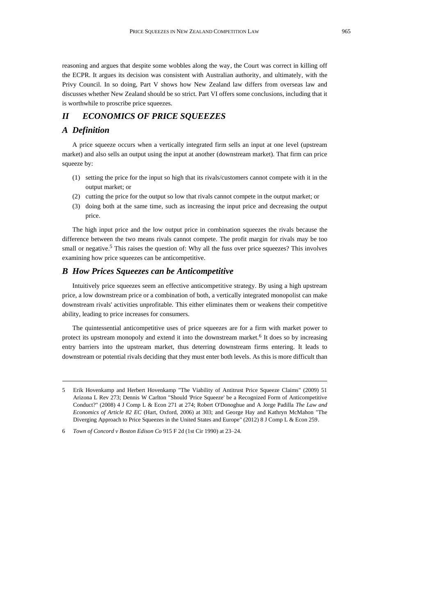reasoning and argues that despite some wobbles along the way, the Court was correct in killing off the ECPR. It argues its decision was consistent with Australian authority, and ultimately, with the Privy Council. In so doing, Part V shows how New Zealand law differs from overseas law and discusses whether New Zealand should be so strict. Part VI offers some conclusions, including that it is worthwhile to proscribe price squeezes.

## *II ECONOMICS OF PRICE SQUEEZES*

#### *A Definition*

A price squeeze occurs when a vertically integrated firm sells an input at one level (upstream market) and also sells an output using the input at another (downstream market). That firm can price squeeze by:

- (1) setting the price for the input so high that its rivals/customers cannot compete with it in the output market; or
- (2) cutting the price for the output so low that rivals cannot compete in the output market; or
- (3) doing both at the same time, such as increasing the input price and decreasing the output price.

<span id="page-2-1"></span>The high input price and the low output price in combination squeezes the rivals because the difference between the two means rivals cannot compete. The profit margin for rivals may be too small or negative.<sup>5</sup> This raises the question of: Why all the fuss over price squeezes? This involves examining how price squeezes can be anticompetitive.

### *B How Prices Squeezes can be Anticompetitive*

Intuitively price squeezes seem an effective anticompetitive strategy. By using a high upstream price, a low downstream price or a combination of both, a vertically integrated monopolist can make downstream rivals' activities unprofitable. This either eliminates them or weakens their competitive ability, leading to price increases for consumers.

<span id="page-2-0"></span>The quintessential anticompetitive uses of price squeezes are for a firm with market power to protect its upstream monopoly and extend it into the downstream market.<sup>6</sup> It does so by increasing entry barriers into the upstream market, thus deterring downstream firms entering. It leads to downstream or potential rivals deciding that they must enter both levels. As this is more difficult than

<sup>5</sup> Erik Hovenkamp and Herbert Hovenkamp "The Viability of Antitrust Price Squeeze Claims" (2009) 51 Arizona L Rev 273; Dennis W Carlton "Should 'Price Squeeze' be a Recognized Form of Anticompetitive Conduct?" (2008) 4 J Comp L & Econ 271 at 274; Robert O'Donoghue and A Jorge Padilla *The Law and Economics of Article 82 EC* (Hart, Oxford, 2006) at 303; and George Hay and Kathryn McMahon "The Diverging Approach to Price Squeezes in the United States and Europe" (2012) 8 J Comp L & Econ 259.

<sup>6</sup> *Town of Concord v Boston Edison Co* 915 F 2d (1st Cir 1990) at 23–24.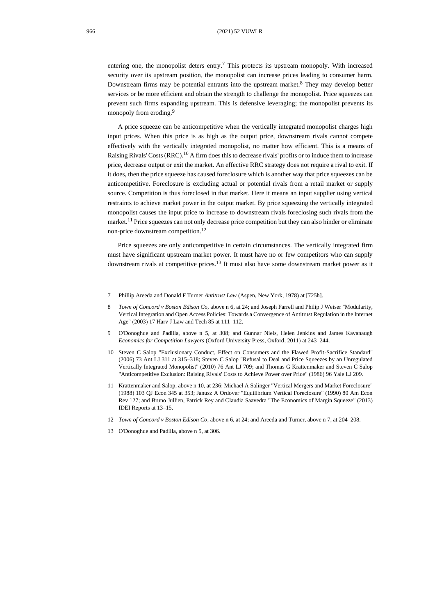<span id="page-3-1"></span>entering one, the monopolist deters entry.<sup>7</sup> This protects its upstream monopoly. With increased security over its upstream position, the monopolist can increase prices leading to consumer harm. Downstream firms may be potential entrants into the upstream market.<sup>8</sup> They may develop better services or be more efficient and obtain the strength to challenge the monopolist. Price squeezes can prevent such firms expanding upstream. This is defensive leveraging; the monopolist prevents its monopoly from eroding.<sup>9</sup>

<span id="page-3-0"></span>A price squeeze can be anticompetitive when the vertically integrated monopolist charges high input prices. When this price is as high as the output price, downstream rivals cannot compete effectively with the vertically integrated monopolist, no matter how efficient. This is a means of Raising Rivals' Costs (RRC).<sup>10</sup> A firm does this to decrease rivals' profits or to induce them to increase price, decrease output or exit the market. An effective RRC strategy does not require a rival to exit. If it does, then the price squeeze has caused foreclosure which is another way that price squeezes can be anticompetitive. Foreclosure is excluding actual or potential rivals from a retail market or supply source. Competition is thus foreclosed in that market. Here it means an input supplier using vertical restraints to achieve market power in the output market. By price squeezing the vertically integrated monopolist causes the input price to increase to downstream rivals foreclosing such rivals from the market.<sup>11</sup> Price squeezes can not only decrease price competition but they can also hinder or eliminate non-price downstream competition. 12

Price squeezes are only anticompetitive in certain circumstances. The vertically integrated firm must have significant upstream market power. It must have no or few competitors who can supply downstream rivals at competitive prices.<sup>13</sup> It must also have some downstream market power as it

<sup>7</sup> Phillip Areeda and Donald F Turner *Antitrust Law* (Aspen, New York, 1978) at [725h].

<sup>8</sup> *Town of Concord v Boston Edison Co*, above [n 6,](#page-2-0) at 24; and Joseph Farrell and Philip J Weiser "Modularity, Vertical Integration and Open Access Policies: Towards a Convergence of Antitrust Regulation in the Internet Age" (2003) 17 Harv J Law and Tech 85 at 111–112.

<sup>9</sup> O'Donoghue and Padilla, above n [5,](#page-2-1) at 308; and Gunnar Niels, Helen Jenkins and James Kavanaugh *Economics for Competition Lawyers* (Oxford University Press, Oxford, 2011) at 243–244.

<sup>10</sup> Steven C Salop "Exclusionary Conduct, Effect on Consumers and the Flawed Profit-Sacrifice Standard" (2006) 73 Ant LJ 311 at 315–318; Steven C Salop "Refusal to Deal and Price Squeezes by an Unregulated Vertically Integrated Monopolist" (2010) 76 Ant LJ 709; and Thomas G Krattenmaker and Steven C Salop "Anticompetitive Exclusion: Raising Rivals' Costs to Achieve Power over Price" (1986) 96 Yale LJ 209.

<sup>11</sup> Krattenmaker and Salop, above n [10,](#page-3-0) at 236; Michael A Salinger "Vertical Mergers and Market Foreclosure" (1988) 103 QJ Econ 345 at 353; Janusz A Ordover "Equilibrium Vertical Foreclosure" (1990) 80 Am Econ Rev 127; and Bruno Jullien, Patrick Rey and Claudia Saavedra "The Economics of Margin Squeeze" (2013) IDEI Reports at 13–15.

<sup>12</sup> *Town of Concord v Boston Edison Co*, above n [6,](#page-2-0) at 24; and Areeda and Turner, above n [7,](#page-3-1) at 204–208.

<sup>13</sup> O'Donoghue and Padilla, above n [5,](#page-2-1) at 306.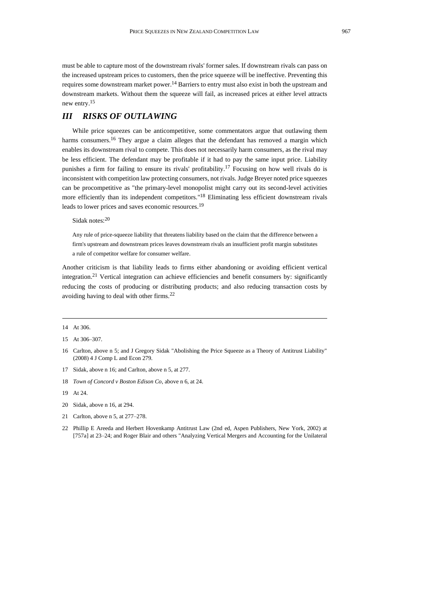must be able to capture most of the downstream rivals' former sales. If downstream rivals can pass on the increased upstream prices to customers, then the price squeeze will be ineffective. Preventing this requires some downstream market power.<sup>14</sup> Barriers to entry must also exist in both the upstream and downstream markets. Without them the squeeze will fail, as increased prices at either level attracts new entry.<sup>15</sup>

# *III RISKS OF OUTLAWING*

<span id="page-4-0"></span>While price squeezes can be anticompetitive, some commentators argue that outlawing them harms consumers.<sup>16</sup> They argue a claim alleges that the defendant has removed a margin which enables its downstream rival to compete. This does not necessarily harm consumers, as the rival may be less efficient. The defendant may be profitable if it had to pay the same input price. Liability punishes a firm for failing to ensure its rivals' profitability.<sup>17</sup> Focusing on how well rivals do is inconsistent with competition law protecting consumers, not rivals. Judge Breyer noted price squeezes can be procompetitive as "the primary-level monopolist might carry out its second-level activities more efficiently than its independent competitors."<sup>18</sup> Eliminating less efficient downstream rivals leads to lower prices and saves economic resources.<sup>19</sup>

Sidak notes:<sup>20</sup>

Any rule of price-squeeze liability that threatens liability based on the claim that the difference between a firm's upstream and downstream prices leaves downstream rivals an insufficient profit margin substitutes a rule of competitor welfare for consumer welfare.

<span id="page-4-1"></span>Another criticism is that liability leads to firms either abandoning or avoiding efficient vertical integration.<sup>21</sup> Vertical integration can achieve efficiencies and benefit consumers by: significantly reducing the costs of producing or distributing products; and also reducing transaction costs by avoiding having to deal with other firms.<sup>22</sup>

- 17 Sidak, above [n 16;](#page-4-0) and Carlton, above [n 5,](#page-2-1) at 277.
- 18 *Town of Concord v Boston Edison Co*, above [n 6,](#page-2-0) at 24.
- 19 At 24.
- 20 Sidak, above [n 16,](#page-4-0) at 294.
- 21 Carlton, above [n 5,](#page-2-1) at 277–278.
- 22 Phillip E Areeda and Herbert Hovenkamp Antitrust Law (2nd ed, Aspen Publishers, New York, 2002) at [757a] at 23–24; and Roger Blair and others "Analyzing Vertical Mergers and Accounting for the Unilateral

<sup>14</sup> At 306.

<sup>15</sup> At 306–307.

<sup>16</sup> Carlton, above [n 5;](#page-2-1) and J Gregory Sidak "Abolishing the Price Squeeze as a Theory of Antitrust Liability" (2008) 4 J Comp L and Econ 279.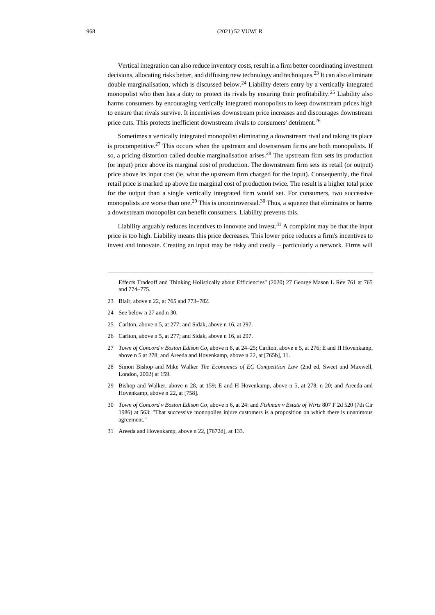Vertical integration can also reduce inventory costs, result in a firm better coordinating investment decisions, allocating risks better, and diffusing new technology and techniques.<sup>23</sup> It can also eliminate double marginalisation, which is discussed below.<sup>24</sup> Liability deters entry by a vertically integrated monopolist who then has a duty to protect its rivals by ensuring their profitability.<sup>25</sup> Liability also harms consumers by encouraging vertically integrated monopolists to keep downstream prices high to ensure that rivals survive. It incentivises downstream price increases and discourages downstream price cuts. This protects inefficient downstream rivals to consumers' detriment.<sup>26</sup>

<span id="page-5-2"></span><span id="page-5-0"></span>Sometimes a vertically integrated monopolist eliminating a downstream rival and taking its place is procompetitive.<sup>27</sup> This occurs when the upstream and downstream firms are both monopolists. If so, a pricing distortion called double marginalisation arises.<sup>28</sup> The upstream firm sets its production (or input) price above its marginal cost of production. The downstream firm sets its retail (or output) price above its input cost (ie, what the upstream firm charged for the input). Consequently, the final retail price is marked up above the marginal cost of production twice. The result is a higher total price for the output than a single vertically integrated firm would set. For consumers, two successive monopolists are worse than one.<sup>29</sup> This is uncontroversial.<sup>30</sup> Thus, a squeeze that eliminates or harms a downstream monopolist can benefit consumers. Liability prevents this.

<span id="page-5-1"></span>Liability arguably reduces incentives to innovate and invest.<sup>31</sup> A complaint may be that the input price is too high. Liability means this price decreases. This lower price reduces a firm's incentives to invest and innovate. Creating an input may be risky and costly – particularly a network. Firms will

- 23 Blair, above [n 22,](#page-4-1) at 765 and 773–782.
- 24 See below [n 27](#page-5-0) and [n 30.](#page-5-1)
- 25 Carlton, above [n 5,](#page-2-1) at 277; and Sidak, above [n 16,](#page-4-0) at 297.
- 26 Carlton, above [n 5,](#page-2-1) at 277; and Sidak, above [n 16,](#page-4-0) at 297.
- 27 *Town of Concord v Boston Edison Co*, above [n 6,](#page-2-0) at 24–25; Carlton, above [n 5,](#page-2-1) at 276; E and H Hovenkamp, above [n 5](#page-2-1) at 278; and Areeda and Hovenkamp, above n [22,](#page-4-1) at [765b], 11.
- 28 Simon Bishop and Mike Walker *The Economics of EC Competition Law* (2nd ed, Sweet and Maxwell, London, 2002) at 159.
- 29 Bishop and Walker, above n [28,](#page-5-2) at 159; E and H Hovenkamp, above n [5,](#page-2-1) at 278, n 20; and Areeda and Hovenkamp, above [n 22,](#page-4-1) at [758].
- 30 *Town of Concord v Boston Edison Co*, above [n 6,](#page-2-0) at 24: and *Fishman v Estate of Wirtz* 807 F 2d 520 (7th Cir 1986) at 563: "That successive monopolies injure customers is a proposition on which there is unanimous agreement."
- 31 Areeda and Hovenkamp, above [n 22,](#page-4-1) [7672d], at 133.

Effects Tradeoff and Thinking Holistically about Efficiencies" (2020) 27 George Mason L Rev 761 at 765 and 774–775.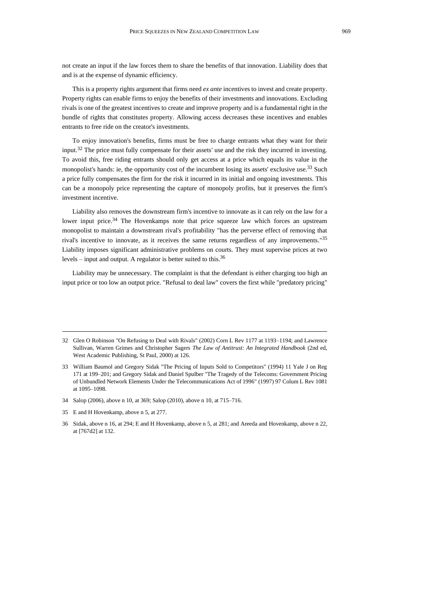not create an input if the law forces them to share the benefits of that innovation. Liability does that and is at the expense of dynamic efficiency.

This is a property rights argument that firms need *ex ante* incentives to invest and create property. Property rights can enable firms to enjoy the benefits of their investments and innovations. Excluding rivals is one of the greatest incentives to create and improve property and is a fundamental right in the bundle of rights that constitutes property. Allowing access decreases these incentives and enables entrants to free ride on the creator's investments.

To enjoy innovation's benefits, firms must be free to charge entrants what they want for their input.<sup>32</sup> The price must fully compensate for their assets' use and the risk they incurred in investing. To avoid this, free riding entrants should only get access at a price which equals its value in the monopolist's hands: ie, the opportunity cost of the incumbent losing its assets' exclusive use.<sup>33</sup> Such a price fully compensates the firm for the risk it incurred in its initial and ongoing investments. This can be a monopoly price representing the capture of monopoly profits, but it preserves the firm's investment incentive.

Liability also removes the downstream firm's incentive to innovate as it can rely on the law for a lower input price.<sup>34</sup> The Hovenkamps note that price squeeze law which forces an upstream monopolist to maintain a downstream rival's profitability "has the perverse effect of removing that rival's incentive to innovate, as it receives the same returns regardless of any improvements."<sup>35</sup> Liability imposes significant administrative problems on courts. They must supervise prices at two levels – input and output. A regulator is better suited to this.<sup>36</sup>

Liability may be unnecessary. The complaint is that the defendant is either charging too high an input price or too low an output price. "Refusal to deal law" covers the first while "predatory pricing"

<sup>32</sup> Glen O Robinson "On Refusing to Deal with Rivals" (2002) Corn L Rev 1177 at 1193–1194; and Lawrence Sullivan, Warren Grimes and Christopher Sagers *The Law of Antitrust: An Integrated Handbook* (2nd ed, West Academic Publishing, St Paul, 2000) at 126.

<sup>33</sup> William Baumol and Gregory Sidak "The Pricing of Inputs Sold to Competitors" (1994) 11 Yale J on Reg 171 at 199–201; and Gregory Sidak and Daniel Spulber "The Tragedy of the Telecoms: Government Pricing of Unbundled Network Elements Under the Telecommunications Act of 1996" (1997) 97 Colum L Rev 1081 at 1095–1098.

<sup>34</sup> Salop (2006), above [n 10,](#page-3-0) at 369; Salop (2010), above [n 10,](#page-3-0) at 715–716.

<sup>35</sup> E and H Hovenkamp, above [n 5,](#page-2-1) at 277.

<sup>36</sup> Sidak, above [n 16,](#page-4-0) at 294; E and H Hovenkamp, above [n 5,](#page-2-1) at 281; and Areeda and Hovenkamp, above [n 22,](#page-4-1) at [767d2] at 132.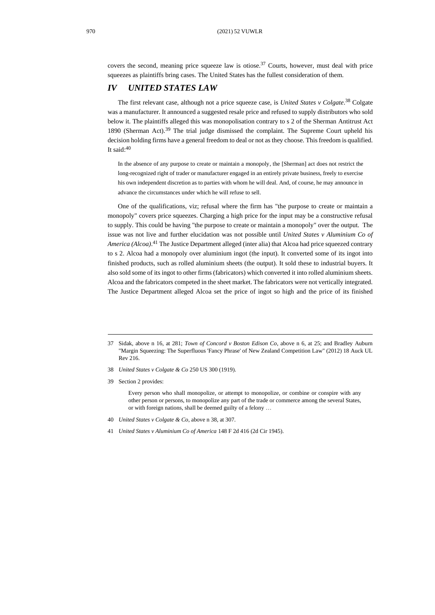covers the second, meaning price squeeze law is otiose.<sup>37</sup> Courts, however, must deal with price squeezes as plaintiffs bring cases. The United States has the fullest consideration of them.

# *IV UNITED STATES LAW*

The first relevant case, although not a price squeeze case, is *United States v Colgate*. <sup>38</sup> Colgate was a manufacturer. It announced a suggested resale price and refused to supply distributors who sold below it. The plaintiffs alleged this was monopolisation contrary to s 2 of the Sherman Antitrust Act 1890 (Sherman Act).<sup>39</sup> The trial judge dismissed the complaint. The Supreme Court upheld his decision holding firms have a general freedom to deal or not as they choose. This freedom is qualified. It said: $40$ 

<span id="page-7-0"></span>In the absence of any purpose to create or maintain a monopoly, the [Sherman] act does not restrict the long-recognized right of trader or manufacturer engaged in an entirely private business, freely to exercise his own independent discretion as to parties with whom he will deal. And, of course, he may announce in advance the circumstances under which he will refuse to sell.

One of the qualifications, viz; refusal where the firm has "the purpose to create or maintain a monopoly" covers price squeezes. Charging a high price for the input may be a constructive refusal to supply. This could be having "the purpose to create or maintain a monopoly" over the output. The issue was not live and further elucidation was not possible until *United States v Aluminium Co of America (Alcoa)*. <sup>41</sup> The Justice Department alleged (inter alia) that Alcoa had price squeezed contrary to s 2. Alcoa had a monopoly over aluminium ingot (the input). It converted some of its ingot into finished products, such as rolled aluminium sheets (the output). It sold these to industrial buyers. It also sold some of its ingot to other firms (fabricators) which converted it into rolled aluminium sheets. Alcoa and the fabricators competed in the sheet market. The fabricators were not vertically integrated. The Justice Department alleged Alcoa set the price of ingot so high and the price of its finished

- 38 *United States v Colgate & Co* 250 US 300 (1919).
- 39 Section 2 provides:

Every person who shall monopolize, or attempt to monopolize, or combine or conspire with any other person or persons, to monopolize any part of the trade or commerce among the several States, or with foreign nations, shall be deemed guilty of a felony …

- 40 *United States v Colgate & Co*, above n [38,](#page-7-0) at 307.
- 41 *United States v Aluminium Co of America* 148 F 2d 416 (2d Cir 1945).

<sup>37</sup> Sidak, above n [16,](#page-4-0) at 281; *Town of Concord v Boston Edison Co*, above n [6,](#page-2-0) at 25; and Bradley Auburn "Margin Squeezing: The Superfluous 'Fancy Phrase' of New Zealand Competition Law" (2012) 18 Auck UL Rev 216.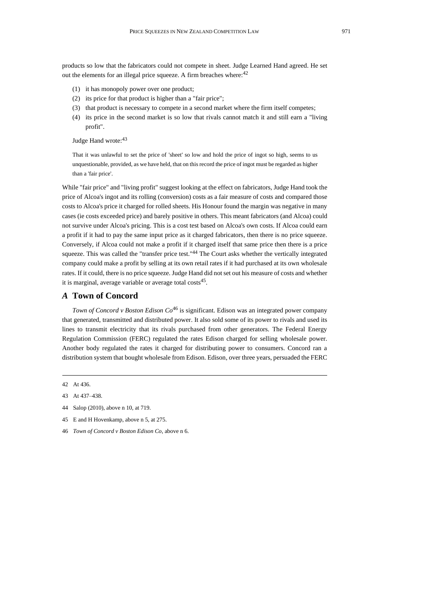products so low that the fabricators could not compete in sheet. Judge Learned Hand agreed. He set out the elements for an illegal price squeeze. A firm breaches where:<sup>42</sup>

- (1) it has monopoly power over one product;
- (2) its price for that product is higher than a "fair price";
- (3) that product is necessary to compete in a second market where the firm itself competes;
- (4) its price in the second market is so low that rivals cannot match it and still earn a "living profit".

#### Judge Hand wrote: 43

That it was unlawful to set the price of 'sheet' so low and hold the price of ingot so high, seems to us unquestionable, provided, as we have held, that on this record the price of ingot must be regarded as higher than a 'fair price'.

While "fair price" and "living profit" suggest looking at the effect on fabricators, Judge Hand took the price of Alcoa's ingot and its rolling (conversion) costs as a fair measure of costs and compared those costs to Alcoa's price it charged for rolled sheets. His Honour found the margin was negative in many cases (ie costs exceeded price) and barely positive in others. This meant fabricators (and Alcoa) could not survive under Alcoa's pricing. This is a cost test based on Alcoa's own costs. If Alcoa could earn a profit if it had to pay the same input price as it charged fabricators, then there is no price squeeze. Conversely, if Alcoa could not make a profit if it charged itself that same price then there is a price squeeze. This was called the "transfer price test."<sup>44</sup> The Court asks whether the vertically integrated company could make a profit by selling at its own retail rates if it had purchased at its own wholesale rates. If it could, there is no price squeeze. Judge Hand did not set out his measure of costs and whether it is marginal, average variable or average total costs<sup>45</sup>.

## *A* **Town of Concord**

*Town of Concord v Boston Edison Co*<sup>46</sup> is significant. Edison was an integrated power company that generated, transmitted and distributed power. It also sold some of its power to rivals and used its lines to transmit electricity that its rivals purchased from other generators. The Federal Energy Regulation Commission (FERC) regulated the rates Edison charged for selling wholesale power. Another body regulated the rates it charged for distributing power to consumers. Concord ran a distribution system that bought wholesale from Edison. Edison, over three years, persuaded the FERC

- 44 Salop (2010), above [n 10,](#page-3-0) at 719.
- 45 E and H Hovenkamp, above [n 5,](#page-2-1) at 275.
- 46 *Town of Concord v Boston Edison Co*, above [n 6.](#page-2-0)

<sup>42</sup> At 436.

<sup>43</sup> At 437–438.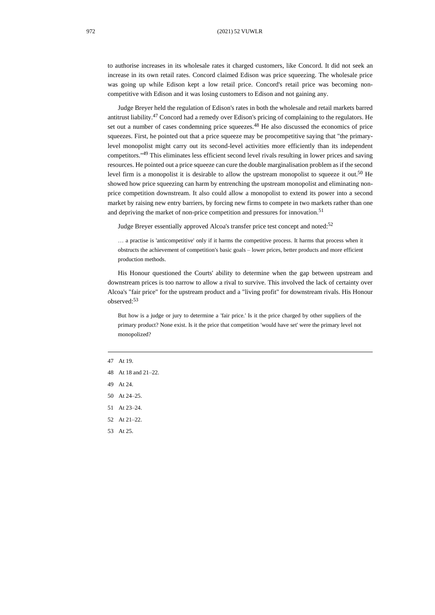to authorise increases in its wholesale rates it charged customers, like Concord. It did not seek an increase in its own retail rates. Concord claimed Edison was price squeezing. The wholesale price was going up while Edison kept a low retail price. Concord's retail price was becoming noncompetitive with Edison and it was losing customers to Edison and not gaining any.

Judge Breyer held the regulation of Edison's rates in both the wholesale and retail markets barred antitrust liability.<sup>47</sup> Concord had a remedy over Edison's pricing of complaining to the regulators. He set out a number of cases condemning price squeezes.<sup>48</sup> He also discussed the economics of price squeezes. First, he pointed out that a price squeeze may be procompetitive saying that "the primarylevel monopolist might carry out its second-level activities more efficiently than its independent competitors."<sup>49</sup> This eliminates less efficient second level rivals resulting in lower prices and saving resources. He pointed out a price squeeze can cure the double marginalisation problem as if the second level firm is a monopolist it is desirable to allow the upstream monopolist to squeeze it out.<sup>50</sup> He showed how price squeezing can harm by entrenching the upstream monopolist and eliminating nonprice competition downstream. It also could allow a monopolist to extend its power into a second market by raising new entry barriers, by forcing new firms to compete in two markets rather than one and depriving the market of non-price competition and pressures for innovation.<sup>51</sup>

Judge Breyer essentially approved Alcoa's transfer price test concept and noted:<sup>52</sup>

… a practise is 'anticompetitive' only if it harms the competitive process. It harms that process when it obstructs the achievement of competition's basic goals – lower prices, better products and more efficient production methods.

His Honour questioned the Courts' ability to determine when the gap between upstream and downstream prices is too narrow to allow a rival to survive. This involved the lack of certainty over Alcoa's "fair price" for the upstream product and a "living profit" for downstream rivals. His Honour observed:<sup>53</sup>

But how is a judge or jury to determine a 'fair price.' Is it the price charged by other suppliers of the primary product? None exist. Is it the price that competition 'would have set' were the primary level not monopolized?

- 47 At 19.
- 48 At 18 and 21–22.
- 49 At 24.
- 50 At 24–25.
- 51 At 23–24.
- 52 At 21–22.
- 53 At 25.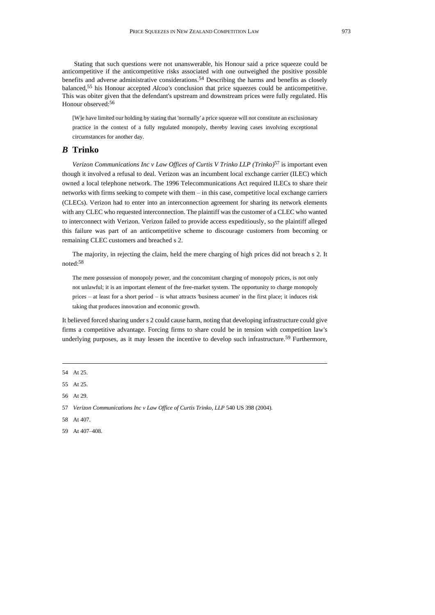Stating that such questions were not unanswerable, his Honour said a price squeeze could be anticompetitive if the anticompetitive risks associated with one outweighed the positive possible benefits and adverse administrative considerations.<sup>54</sup> Describing the harms and benefits as closely balanced, <sup>55</sup> his Honour accepted *Alcoa's* conclusion that price squeezes could be anticompetitive. This was obiter given that the defendant's upstream and downstream prices were fully regulated. His Honour observed:<sup>56</sup>

<span id="page-10-0"></span>[W]e have limited our holding by stating that 'normally' a price squeeze will not constitute an exclusionary practice in the context of a fully regulated monopoly, thereby leaving cases involving exceptional circumstances for another day.

## *B* **Trinko**

*Verizon Communications Inc v Law Offices of Curtis V Trinko LLP (Trinko)* <sup>57</sup> is important even though it involved a refusal to deal. Verizon was an incumbent local exchange carrier (ILEC) which owned a local telephone network. The 1996 Telecommunications Act required ILECs to share their networks with firms seeking to compete with them – in this case, competitive local exchange carriers (CLECs). Verizon had to enter into an interconnection agreement for sharing its network elements with any CLEC who requested interconnection. The plaintiff was the customer of a CLEC who wanted to interconnect with Verizon. Verizon failed to provide access expeditiously, so the plaintiff alleged this failure was part of an anticompetitive scheme to discourage customers from becoming or remaining CLEC customers and breached s 2.

The majority, in rejecting the claim, held the mere charging of high prices did not breach s 2. It noted:<sup>58</sup>

The mere possession of monopoly power, and the concomitant charging of monopoly prices, is not only not unlawful; it is an important element of the free-market system. The opportunity to charge monopoly prices – at least for a short period – is what attracts 'business acumen' in the first place; it induces risk taking that produces innovation and economic growth.

It believed forced sharing under s 2 could cause harm, noting that developing infrastructure could give firms a competitive advantage. Forcing firms to share could be in tension with competition law's underlying purposes, as it may lessen the incentive to develop such infrastructure.<sup>59</sup> Furthermore,

<sup>54</sup> At 25.

<sup>55</sup> At 25.

<sup>56</sup> At 29.

<sup>57</sup> Verizon Communications Inc v Law Office of Curtis Trinko, LLP 540 US 398 (2004).

<sup>58</sup> At 407.

<sup>59</sup> At 407–408.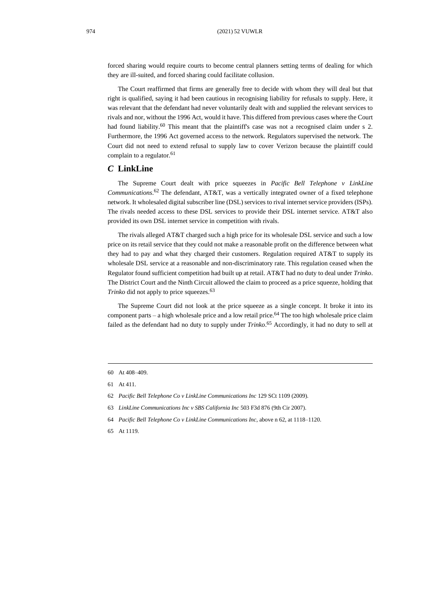forced sharing would require courts to become central planners setting terms of dealing for which they are ill-suited, and forced sharing could facilitate collusion.

The Court reaffirmed that firms are generally free to decide with whom they will deal but that right is qualified, saying it had been cautious in recognising liability for refusals to supply. Here, it was relevant that the defendant had never voluntarily dealt with and supplied the relevant services to rivals and nor, without the 1996 Act, would it have. This differed from previous cases where the Court had found liability.<sup>60</sup> This meant that the plaintiff's case was not a recognised claim under s 2. Furthermore, the 1996 Act governed access to the network. Regulators supervised the network. The Court did not need to extend refusal to supply law to cover Verizon because the plaintiff could complain to a regulator.<sup>61</sup>

#### *C* **LinkLine**

<span id="page-11-0"></span>The Supreme Court dealt with price squeezes in *Pacific Bell Telephone v LinkLine Communications*. <sup>62</sup> The defendant, AT&T, was a vertically integrated owner of a fixed telephone network. It wholesaled digital subscriber line (DSL) services to rival internet service providers (ISPs). The rivals needed access to these DSL services to provide their DSL internet service. AT&T also provided its own DSL internet service in competition with rivals.

The rivals alleged AT&T charged such a high price for its wholesale DSL service and such a low price on its retail service that they could not make a reasonable profit on the difference between what they had to pay and what they charged their customers. Regulation required AT&T to supply its wholesale DSL service at a reasonable and non-discriminatory rate. This regulation ceased when the Regulator found sufficient competition had built up at retail. AT&T had no duty to deal under *Trinko*. The District Court and the Ninth Circuit allowed the claim to proceed as a price squeeze, holding that *Trinko* did not apply to price squeezes.<sup>63</sup>

The Supreme Court did not look at the price squeeze as a single concept. It broke it into its component parts – a high wholesale price and a low retail price.<sup>64</sup> The too high wholesale price claim failed as the defendant had no duty to supply under *Trinko*. <sup>65</sup> Accordingly, it had no duty to sell at

- 62 *Pacific Bell Telephone Co v LinkLine Communications Inc* 129 SCt 1109 (2009).
- 63 *LinkLine Communications Inc v SBS California Inc* 503 F3d 876 (9th Cir 2007).
- 64 *Pacific Bell Telephone Co v LinkLine Communications Inc*, above [n 62,](#page-11-0) at 1118–1120.
- 65 At 1119.

<sup>60</sup> At 408–409.

<sup>61</sup> At 411.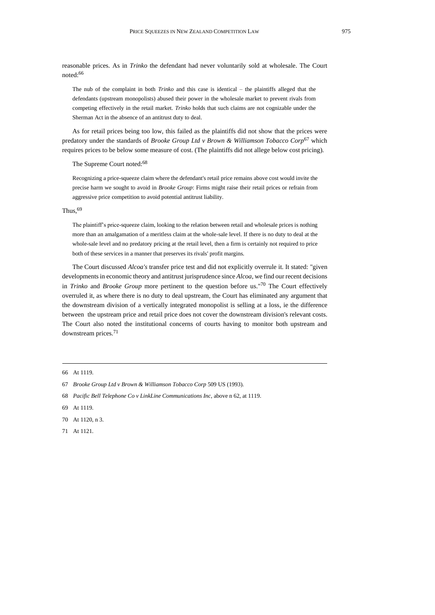reasonable prices. As in *Trinko* the defendant had never voluntarily sold at wholesale. The Court noted:<sup>66</sup>

The nub of the complaint in both *Trinko* and this case is identical – the plaintiffs alleged that the defendants (upstream monopolists) abused their power in the wholesale market to prevent rivals from competing effectively in the retail market. *Trinko* holds that such claims are not cognizable under the Sherman Act in the absence of an antitrust duty to deal.

As for retail prices being too low, this failed as the plaintiffs did not show that the prices were predatory under the standards of *Brooke Group Ltd v Brown & Williamson Tobacco Corp*<sup>67</sup> which requires prices to be below some measure of cost. (The plaintiffs did not allege below cost pricing).

The Supreme Court noted:<sup>68</sup>

Recognizing a price-squeeze claim where the defendant's retail price remains above cost would invite the precise harm we sought to avoid in *Brooke Group*: Firms might raise their retail prices or refrain from aggressive price competition to avoid potential antitrust liability.

#### Thus, 69

The plaintiff's price-squeeze claim, looking to the relation between retail and wholesale prices is nothing more than an amalgamation of a meritless claim at the whole-sale level. If there is no duty to deal at the whole-sale level and no predatory pricing at the retail level, then a firm is certainly not required to price both of these services in a manner that preserves its rivals' profit margins.

The Court discussed *Alcoa's* transfer price test and did not explicitly overrule it. It stated: "given developments in economic theory and antitrust jurisprudence since *Alcoa*, we find our recent decisions in *Trinko* and *Brooke Group* more pertinent to the question before us." <sup>70</sup> The Court effectively overruled it, as where there is no duty to deal upstream, the Court has eliminated any argument that the downstream division of a vertically integrated monopolist is selling at a loss, ie the difference between the upstream price and retail price does not cover the downstream division's relevant costs. The Court also noted the institutional concerns of courts having to monitor both upstream and downstream prices.<sup>71</sup>

- 68 *Pacific Bell Telephone Co v LinkLine Communications Inc*, above n [62,](#page-11-0) at 1119.
- 69 At 1119.

71 At 1121.

<sup>66</sup> At 1119.

<sup>67</sup> *Brooke Group Ltd v Brown & Williamson Tobacco Corp* 509 US (1993).

<sup>70</sup> At 1120, n 3.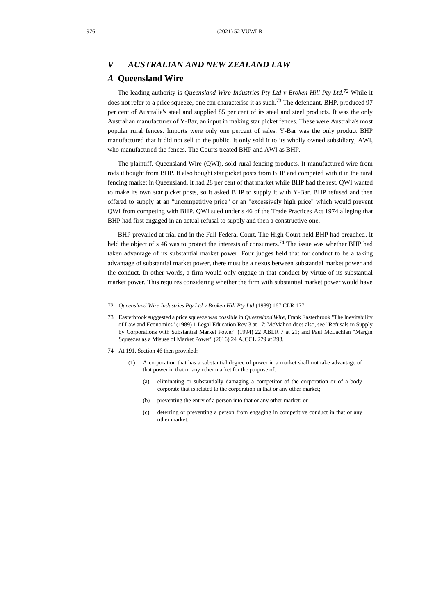## *V AUSTRALIAN AND NEW ZEALAND LAW*

#### *A* **Queensland Wire**

<span id="page-13-1"></span><span id="page-13-0"></span>The leading authority is *Queensland Wire Industries Pty Ltd v Broken Hill Pty Ltd*. <sup>72</sup> While it does not refer to a price squeeze, one can characterise it as such.<sup>73</sup> The defendant, BHP, produced 97 per cent of Australia's steel and supplied 85 per cent of its steel and steel products. It was the only Australian manufacturer of Y-Bar, an input in making star picket fences. These were Australia's most popular rural fences. Imports were only one percent of sales. Y-Bar was the only product BHP manufactured that it did not sell to the public. It only sold it to its wholly owned subsidiary, AWI, who manufactured the fences. The Courts treated BHP and AWI as BHP.

The plaintiff, Queensland Wire (QWI), sold rural fencing products. It manufactured wire from rods it bought from BHP. It also bought star picket posts from BHP and competed with it in the rural fencing market in Queensland. It had 28 per cent of that market while BHP had the rest. QWI wanted to make its own star picket posts, so it asked BHP to supply it with Y-Bar. BHP refused and then offered to supply at an "uncompetitive price" or an "excessively high price" which would prevent QWI from competing with BHP. QWI sued under s 46 of the Trade Practices Act 1974 alleging that BHP had first engaged in an actual refusal to supply and then a constructive one.

BHP prevailed at trial and in the Full Federal Court. The High Court held BHP had breached. It held the object of s 46 was to protect the interests of consumers.<sup>74</sup> The issue was whether BHP had taken advantage of its substantial market power. Four judges held that for conduct to be a taking advantage of substantial market power, there must be a nexus between substantial market power and the conduct. In other words, a firm would only engage in that conduct by virtue of its substantial market power. This requires considering whether the firm with substantial market power would have

- 74 At 191. Section 46 then provided:
	- A corporation that has a substantial degree of power in a market shall not take advantage of that power in that or any other market for the purpose of:
		- (a) eliminating or substantially damaging a competitor of the corporation or of a body corporate that is related to the corporation in that or any other market;
		- (b) preventing the entry of a person into that or any other market; or
		- (c) deterring or preventing a person from engaging in competitive conduct in that or any other market.

<sup>72</sup> *Queensland Wire Industries Pty Ltd v Broken Hill Pty Ltd* (1989) 167 CLR 177.

<sup>73</sup> Easterbrook suggested a price squeeze was possible in *Queensland Wire*, Frank Easterbrook "The Inevitability of Law and Economics" (1989) 1 Legal Education Rev 3 at 17: McMahon does also, see "Refusals to Supply by Corporations with Substantial Market Power" (1994) 22 ABLR 7 at 21; and Paul McLachlan "Margin Squeezes as a Misuse of Market Power" (2016) 24 AJCCL 279 at 293.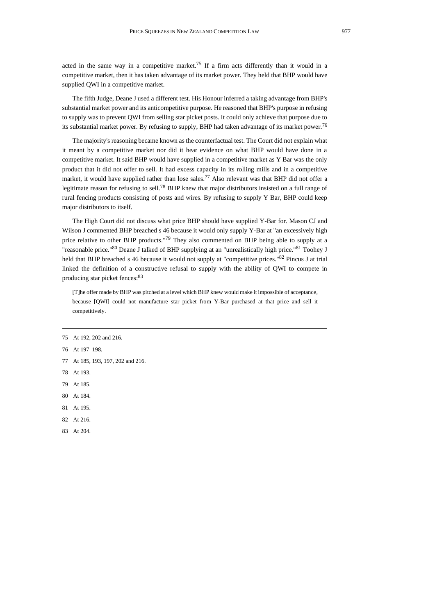acted in the same way in a competitive market.<sup>75</sup> If a firm acts differently than it would in a competitive market, then it has taken advantage of its market power. They held that BHP would have supplied QWI in a competitive market.

The fifth Judge, Deane J used a different test. His Honour inferred a taking advantage from BHP's substantial market power and its anticompetitive purpose. He reasoned that BHP's purpose in refusing to supply was to prevent QWI from selling star picket posts. It could only achieve that purpose due to its substantial market power. By refusing to supply, BHP had taken advantage of its market power.<sup>76</sup>

The majority's reasoning became known as the counterfactual test. The Court did not explain what it meant by a competitive market nor did it hear evidence on what BHP would have done in a competitive market. It said BHP would have supplied in a competitive market as Y Bar was the only product that it did not offer to sell. It had excess capacity in its rolling mills and in a competitive market, it would have supplied rather than lose sales.<sup>77</sup> Also relevant was that BHP did not offer a legitimate reason for refusing to sell.<sup>78</sup> BHP knew that major distributors insisted on a full range of rural fencing products consisting of posts and wires. By refusing to supply Y Bar, BHP could keep major distributors to itself.

The High Court did not discuss what price BHP should have supplied Y-Bar for. Mason CJ and Wilson J commented BHP breached s 46 because it would only supply Y-Bar at "an excessively high price relative to other BHP products."<sup>79</sup> They also commented on BHP being able to supply at a "reasonable price."<sup>80</sup> Deane J talked of BHP supplying at an "unrealistically high price."<sup>81</sup> Toohey J held that BHP breached s 46 because it would not supply at "competitive prices."<sup>82</sup> Pincus J at trial linked the definition of a constructive refusal to supply with the ability of QWI to compete in producing star picket fences: 83

[T]he offer made by BHP was pitched at a level which BHP knew would make it impossible of acceptance, because [QWI] could not manufacture star picket from Y-Bar purchased at that price and sell it competitively.

- 76 At 197–198.
- 77 At 185, 193, 197, 202 and 216.
- 78 At 193.
- 79 At 185.
- 80 At 184.
- 81 At 195.
- 82 At 216.
- 83 At 204.

<sup>75</sup> At 192, 202 and 216.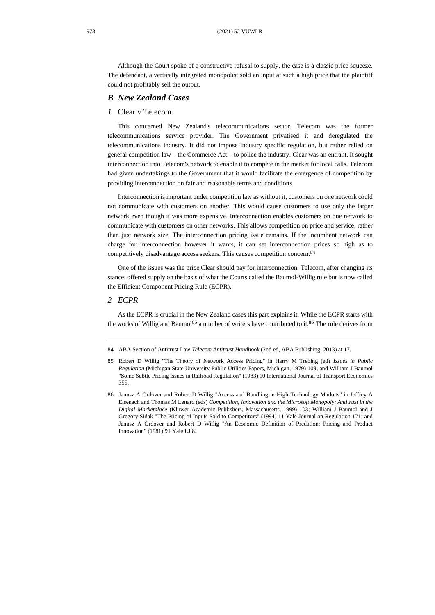Although the Court spoke of a constructive refusal to supply, the case is a classic price squeeze. The defendant, a vertically integrated monopolist sold an input at such a high price that the plaintiff could not profitably sell the output.

#### *B New Zealand Cases*

#### *1* Clear v Telecom

This concerned New Zealand's telecommunications sector. Telecom was the former telecommunications service provider. The Government privatised it and deregulated the telecommunications industry. It did not impose industry specific regulation, but rather relied on general competition law – the Commerce Act – to police the industry. Clear was an entrant. It sought interconnection into Telecom's network to enable it to compete in the market for local calls. Telecom had given undertakings to the Government that it would facilitate the emergence of competition by providing interconnection on fair and reasonable terms and conditions.

Interconnection is important under competition law as without it, customers on one network could not communicate with customers on another. This would cause customers to use only the larger network even though it was more expensive. Interconnection enables customers on one network to communicate with customers on other networks. This allows competition on price and service, rather than just network size. The interconnection pricing issue remains. If the incumbent network can charge for interconnection however it wants, it can set interconnection prices so high as to competitively disadvantage access seekers. This causes competition concern.<sup>84</sup>

<span id="page-15-1"></span>One of the issues was the price Clear should pay for interconnection. Telecom, after changing its stance, offered supply on the basis of what the Courts called the Baumol-Willig rule but is now called the Efficient Component Pricing Rule (ECPR).

#### *2 ECPR*

<span id="page-15-0"></span>As the ECPR is crucial in the New Zealand cases this part explains it. While the ECPR starts with the works of Willig and Baumol<sup>85</sup> a number of writers have contributed to it.<sup>86</sup> The rule derives from

<sup>84</sup> ABA Section of Antitrust Law *Telecom Antitrust Handbook* (2nd ed, ABA Publishing, 2013) at 17.

<sup>85</sup> Robert D Willig "The Theory of Network Access Pricing" in Harry M Trebing (ed) *Issues in Public Regulation* (Michigan State University Public Utilities Papers, Michigan, 1979) 109; and William J Baumol "Some Subtle Pricing Issues in Railroad Regulation" (1983) 10 International Journal of Transport Economics 355.

<sup>86</sup> Janusz A Ordover and Robert D Willig "Access and Bundling in High-Technology Markets" in Jeffrey A Eisenach and Thomas M Lenard (eds) *Competition, Innovation and the Microsoft Monopoly: Antitrust in the Digital Marketplace* (Kluwer Academic Publishers, Massachusetts, 1999) 103; William J Baumol and J Gregory Sidak "The Pricing of Inputs Sold to Competitors" (1994) 11 Yale Journal on Regulation 171; and Janusz A Ordover and Robert D Willig "An Economic Definition of Predation: Pricing and Product Innovation" (1981) 91 Yale LJ 8.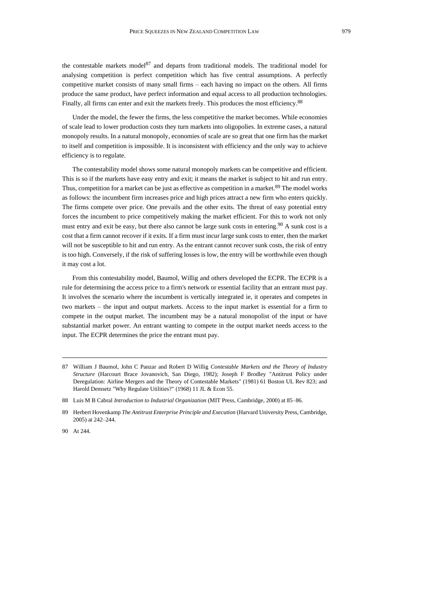<span id="page-16-0"></span>the contestable markets model<sup>87</sup> and departs from traditional models. The traditional model for analysing competition is perfect competition which has five central assumptions. A perfectly competitive market consists of many small firms – each having no impact on the others. All firms produce the same product, have perfect information and equal access to all production technologies. Finally, all firms can enter and exit the markets freely. This produces the most efficiency.<sup>88</sup>

Under the model, the fewer the firms, the less competitive the market becomes. While economies of scale lead to lower production costs they turn markets into oligopolies. In extreme cases, a natural monopoly results. In a natural monopoly, economies of scale are so great that one firm has the market to itself and competition is impossible. It is inconsistent with efficiency and the only way to achieve efficiency is to regulate.

The contestability model shows some natural monopoly markets can be competitive and efficient. This is so if the markets have easy entry and exit; it means the market is subject to hit and run entry. Thus, competition for a market can be just as effective as competition in a market.<sup>89</sup> The model works as follows: the incumbent firm increases price and high prices attract a new firm who enters quickly. The firms compete over price. One prevails and the other exits. The threat of easy potential entry forces the incumbent to price competitively making the market efficient. For this to work not only must entry and exit be easy, but there also cannot be large sunk costs in entering.<sup>90</sup> A sunk cost is a cost that a firm cannot recover if it exits. If a firm must incur large sunk costs to enter, then the market will not be susceptible to hit and run entry. As the entrant cannot recover sunk costs, the risk of entry is too high. Conversely, if the risk of suffering losses is low, the entry will be worthwhile even though it may cost a lot.

From this contestability model, Baumol, Willig and others developed the ECPR. The ECPR is a rule for determining the access price to a firm's network or essential facility that an entrant must pay. It involves the scenario where the incumbent is vertically integrated ie, it operates and competes in two markets – the input and output markets. Access to the input market is essential for a firm to compete in the output market. The incumbent may be a natural monopolist of the input or have substantial market power. An entrant wanting to compete in the output market needs access to the input. The ECPR determines the price the entrant must pay.

<sup>87</sup> William J Baumol, John C Panzar and Robert D Willig *Contestable Markets and the Theory of Industry Structure* (Harcourt Brace Jovanovich, San Diego, 1982); Joseph F Brodley "Antitrust Policy under Deregulation: Airline Mergers and the Theory of Contestable Markets" (1981) 61 Boston UL Rev 823; and Harold Demsetz "Why Regulate Utilities?" (1968) 11 JL & Econ 55.

<sup>88</sup> Luis M B Cabral *Introduction to Industrial Organization* (MIT Press, Cambridge, 2000) at 85–86.

<sup>89</sup> Herbert Hovenkamp *The Antitrust Enterprise Principle and Execution* (Harvard University Press, Cambridge, 2005) at 242–244.

<sup>90</sup> At 244.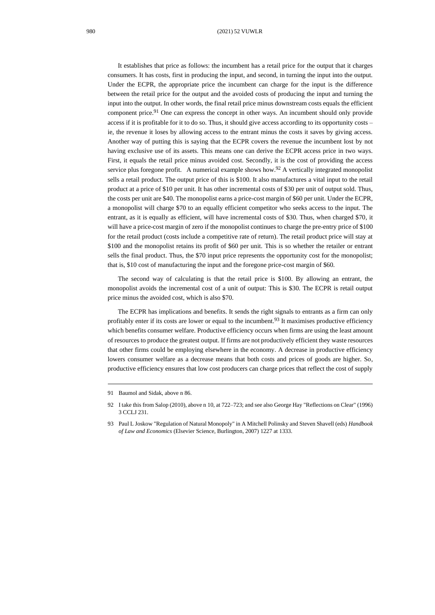It establishes that price as follows: the incumbent has a retail price for the output that it charges consumers. It has costs, first in producing the input, and second, in turning the input into the output. Under the ECPR, the appropriate price the incumbent can charge for the input is the difference between the retail price for the output and the avoided costs of producing the input and turning the input into the output. In other words, the final retail price minus downstream costs equals the efficient component price.<sup>91</sup> One can express the concept in other ways. An incumbent should only provide access if it is profitable for it to do so. Thus, it should give access according to its opportunity costs – ie, the revenue it loses by allowing access to the entrant minus the costs it saves by giving access. Another way of putting this is saying that the ECPR covers the revenue the incumbent lost by not having exclusive use of its assets. This means one can derive the ECPR access price in two ways. First, it equals the retail price minus avoided cost. Secondly, it is the cost of providing the access service plus foregone profit. A numerical example shows how.<sup>92</sup> A vertically integrated monopolist sells a retail product. The output price of this is \$100. It also manufactures a vital input to the retail product at a price of \$10 per unit. It has other incremental costs of \$30 per unit of output sold. Thus, the costs per unit are \$40. The monopolist earns a price-cost margin of \$60 per unit. Under the ECPR, a monopolist will charge \$70 to an equally efficient competitor who seeks access to the input. The entrant, as it is equally as efficient, will have incremental costs of \$30. Thus, when charged \$70, it will have a price-cost margin of zero if the monopolist continues to charge the pre-entry price of \$100 for the retail product (costs include a competitive rate of return). The retail product price will stay at \$100 and the monopolist retains its profit of \$60 per unit. This is so whether the retailer or entrant sells the final product. Thus, the \$70 input price represents the opportunity cost for the monopolist; that is, \$10 cost of manufacturing the input and the foregone price-cost margin of \$60.

The second way of calculating is that the retail price is \$100. By allowing an entrant, the monopolist avoids the incremental cost of a unit of output: This is \$30. The ECPR is retail output price minus the avoided cost, which is also \$70.

The ECPR has implications and benefits. It sends the right signals to entrants as a firm can only profitably enter if its costs are lower or equal to the incumbent.<sup>93</sup> It maximises productive efficiency which benefits consumer welfare. Productive efficiency occurs when firms are using the least amount of resources to produce the greatest output. If firms are not productively efficient they waste resources that other firms could be employing elsewhere in the economy. A decrease in productive efficiency lowers consumer welfare as a decrease means that both costs and prices of goods are higher. So, productive efficiency ensures that low cost producers can charge prices that reflect the cost of supply

<sup>91</sup> Baumol and Sidak, above [n 86.](#page-15-0)

<sup>92</sup> I take this from Salop (2010), above [n 10,](#page-3-0) at 722–723; and see also George Hay "Reflections on Clear" (1996) 3 CCLJ 231.

<sup>93</sup> Paul L Joskow "Regulation of Natural Monopoly" in A Mitchell Polinsky and Steven Shavell (eds) *Handbook of Law and Economics* (Elsevier Science, Burlington, 2007) 1227 at 1333.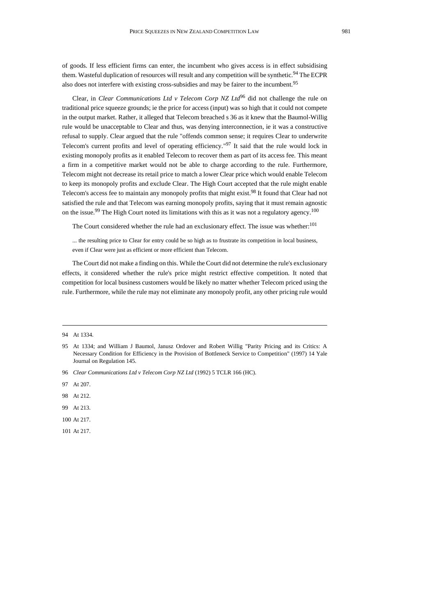of goods. If less efficient firms can enter, the incumbent who gives access is in effect subsidising them. Wasteful duplication of resources will result and any competition will be synthetic.<sup>94</sup> The ECPR also does not interfere with existing cross-subsidies and may be fairer to the incumbent.<sup>95</sup>

<span id="page-18-0"></span>Clear, in *Clear Communications Ltd v Telecom Corp NZ Ltd*<sup>96</sup> did not challenge the rule on traditional price squeeze grounds; ie the price for access (input) was so high that it could not compete in the output market. Rather, it alleged that Telecom breached s 36 as it knew that the Baumol-Willig rule would be unacceptable to Clear and thus, was denying interconnection, ie it was a constructive refusal to supply. Clear argued that the rule "offends common sense; it requires Clear to underwrite Telecom's current profits and level of operating efficiency."<sup>97</sup> It said that the rule would lock in existing monopoly profits as it enabled Telecom to recover them as part of its access fee. This meant a firm in a competitive market would not be able to charge according to the rule. Furthermore, Telecom might not decrease its retail price to match a lower Clear price which would enable Telecom to keep its monopoly profits and exclude Clear. The High Court accepted that the rule might enable Telecom's access fee to maintain any monopoly profits that might exist.<sup>98</sup> It found that Clear had not satisfied the rule and that Telecom was earning monopoly profits, saying that it must remain agnostic on the issue.<sup>99</sup> The High Court noted its limitations with this as it was not a regulatory agency.<sup>100</sup>

The Court considered whether the rule had an exclusionary effect. The issue was whether:<sup>101</sup>

... the resulting price to Clear for entry could be so high as to frustrate its competition in local business, even if Clear were just as efficient or more efficient than Telecom.

The Court did not make a finding on this. While the Court did not determine the rule's exclusionary effects, it considered whether the rule's price might restrict effective competition. It noted that competition for local business customers would be likely no matter whether Telecom priced using the rule. Furthermore, while the rule may not eliminate any monopoly profit, any other pricing rule would

<sup>94</sup> At 1334.

<sup>95</sup> At 1334; and William J Baumol, Janusz Ordover and Robert Willig "Parity Pricing and its Critics: A Necessary Condition for Efficiency in the Provision of Bottleneck Service to Competition" (1997) 14 Yale Journal on Regulation 145.

<sup>96</sup> *Clear Communications Ltd v Telecom Corp NZ Ltd* (1992) 5 TCLR 166 (HC).

<sup>97</sup> At 207.

<sup>98</sup> At 212.

<sup>99</sup> At 213.

<sup>100</sup> At 217.

<sup>101</sup> At 217.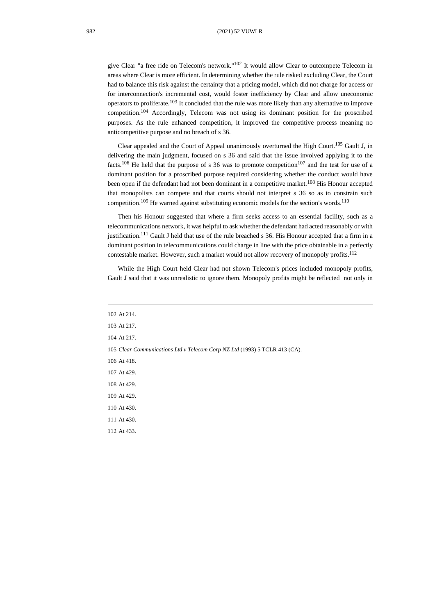982 (2021) 52 VUWLR

give Clear "a free ride on Telecom's network." <sup>102</sup> It would allow Clear to outcompete Telecom in areas where Clear is more efficient. In determining whether the rule risked excluding Clear, the Court had to balance this risk against the certainty that a pricing model, which did not charge for access or for interconnection's incremental cost, would foster inefficiency by Clear and allow uneconomic operators to proliferate.<sup>103</sup> It concluded that the rule was more likely than any alternative to improve competition.<sup>104</sup> Accordingly, Telecom was not using its dominant position for the proscribed purposes. As the rule enhanced competition, it improved the competitive process meaning no anticompetitive purpose and no breach of s 36.

Clear appealed and the Court of Appeal unanimously overturned the High Court. <sup>105</sup> Gault J, in delivering the main judgment, focused on s 36 and said that the issue involved applying it to the facts.<sup>106</sup> He held that the purpose of s 36 was to promote competition<sup>107</sup> and the test for use of a dominant position for a proscribed purpose required considering whether the conduct would have been open if the defendant had not been dominant in a competitive market.<sup>108</sup> His Honour accepted that monopolists can compete and that courts should not interpret s 36 so as to constrain such competition.<sup>109</sup> He warned against substituting economic models for the section's words.<sup>110</sup>

Then his Honour suggested that where a firm seeks access to an essential facility, such as a telecommunications network, it was helpful to ask whether the defendant had acted reasonably or with justification.<sup>111</sup> Gault J held that use of the rule breached s 36. His Honour accepted that a firm in a dominant position in telecommunications could charge in line with the price obtainable in a perfectly contestable market. However, such a market would not allow recovery of monopoly profits. 112

While the High Court held Clear had not shown Telecom's prices included monopoly profits, Gault J said that it was unrealistic to ignore them. Monopoly profits might be reflected not only in

| 102 At 214.                                                                |
|----------------------------------------------------------------------------|
| 103 At 217.                                                                |
| 104 At 217.                                                                |
| 105 Clear Communications Ltd v Telecom Corp NZ Ltd (1993) 5 TCLR 413 (CA). |
| 106 At 418.                                                                |
| 107 At 429.                                                                |
| 108 At 429.                                                                |
| 109 At 429.                                                                |
| 110 At 430.                                                                |
| 111 At 430.                                                                |
| 112 At 433.                                                                |
|                                                                            |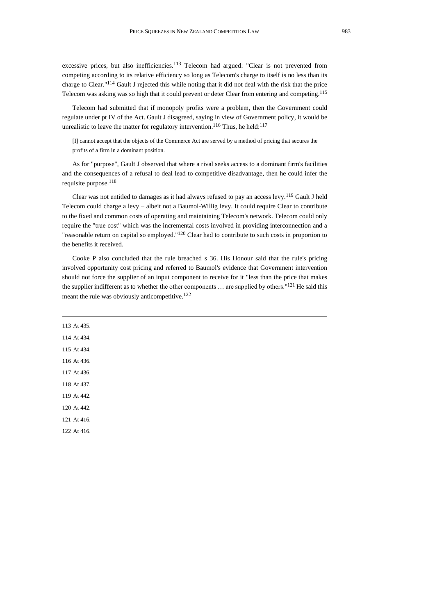excessive prices, but also inefficiencies.<sup>113</sup> Telecom had argued: "Clear is not prevented from competing according to its relative efficiency so long as Telecom's charge to itself is no less than its charge to Clear."<sup>114</sup> Gault J rejected this while noting that it did not deal with the risk that the price Telecom was asking was so high that it could prevent or deter Clear from entering and competing.<sup>115</sup>

Telecom had submitted that if monopoly profits were a problem, then the Government could regulate under pt IV of the Act. Gault J disagreed, saying in view of Government policy, it would be unrealistic to leave the matter for regulatory intervention.<sup>116</sup> Thus, he held:<sup>117</sup>

[I] cannot accept that the objects of the Commerce Act are served by a method of pricing that secures the profits of a firm in a dominant position.

As for "purpose", Gault J observed that where a rival seeks access to a dominant firm's facilities and the consequences of a refusal to deal lead to competitive disadvantage, then he could infer the requisite purpose.<sup>118</sup>

Clear was not entitled to damages as it had always refused to pay an access levy.<sup>119</sup> Gault J held Telecom could charge a levy – albeit not a Baumol-Willig levy. It could require Clear to contribute to the fixed and common costs of operating and maintaining Telecom's network. Telecom could only require the "true cost" which was the incremental costs involved in providing interconnection and a "reasonable return on capital so employed." $120$  Clear had to contribute to such costs in proportion to the benefits it received.

Cooke P also concluded that the rule breached s 36. His Honour said that the rule's pricing involved opportunity cost pricing and referred to Baumol's evidence that Government intervention should not force the supplier of an input component to receive for it "less than the price that makes the supplier indifferent as to whether the other components ... are supplied by others."<sup>121</sup> He said this meant the rule was obviously anticompetitive.<sup>122</sup>

| 113 At 435. |  |  |
|-------------|--|--|
| 114 At 434. |  |  |
| 115 At 434. |  |  |
| 116 At 436. |  |  |
| 117 At 436. |  |  |
| 118 At 437. |  |  |
| 119 At 442. |  |  |
| 120 At 442. |  |  |
| 121 At 416. |  |  |
| 122 At 416. |  |  |
|             |  |  |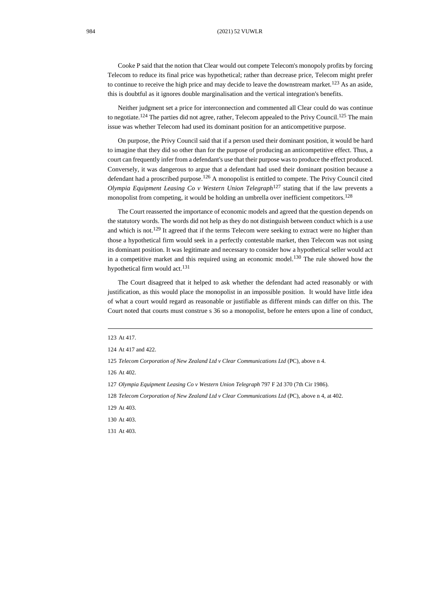Cooke P said that the notion that Clear would out compete Telecom's monopoly profits by forcing Telecom to reduce its final price was hypothetical; rather than decrease price, Telecom might prefer to continue to receive the high price and may decide to leave the downstream market.<sup>123</sup> As an aside, this is doubtful as it ignores double marginalisation and the vertical integration's benefits.

Neither judgment set a price for interconnection and commented all Clear could do was continue to negotiate.<sup>124</sup> The parties did not agree, rather, Telecom appealed to the Privy Council.<sup>125</sup> The main issue was whether Telecom had used its dominant position for an anticompetitive purpose.

On purpose, the Privy Council said that if a person used their dominant position, it would be hard to imagine that they did so other than for the purpose of producing an anticompetitive effect. Thus, a court can frequently infer from a defendant's use that their purpose was to produce the effect produced. Conversely, it was dangerous to argue that a defendant had used their dominant position because a defendant had a proscribed purpose.<sup>126</sup> A monopolist is entitled to compete. The Privy Council cited *Olympia Equipment Leasing Co v Western Union Telegraph*<sup>127</sup> stating that if the law prevents a monopolist from competing, it would be holding an umbrella over inefficient competitors.<sup>128</sup>

The Court reasserted the importance of economic models and agreed that the question depends on the statutory words. The words did not help as they do not distinguish between conduct which is a use and which is not.<sup>129</sup> It agreed that if the terms Telecom were seeking to extract were no higher than those a hypothetical firm would seek in a perfectly contestable market, then Telecom was not using its dominant position. It was legitimate and necessary to consider how a hypothetical seller would act in a competitive market and this required using an economic model.<sup>130</sup> The rule showed how the hypothetical firm would act.<sup>131</sup>

The Court disagreed that it helped to ask whether the defendant had acted reasonably or with justification, as this would place the monopolist in an impossible position. It would have little idea of what a court would regard as reasonable or justifiable as different minds can differ on this. The Court noted that courts must construe s 36 so a monopolist, before he enters upon a line of conduct,

<sup>123</sup> At 417.

<sup>124</sup> At 417 and 422.

<sup>125</sup> *Telecom Corporation of New Zealand Ltd v Clear Communications Ltd* (PC)*,* above [n 4.](#page-1-0)

<sup>126</sup> At 402.

<sup>127</sup> *Olympia Equipment Leasing Co v Western Union Telegraph* 797 F 2d 370 (7th Cir 1986).

<sup>128</sup> *Telecom Corporation of New Zealand Ltd v Clear Communications Ltd* (PC), above [n 4,](#page-1-0) at 402.

<sup>129</sup> At 403.

<sup>130</sup> At 403.

<sup>131</sup> At 403.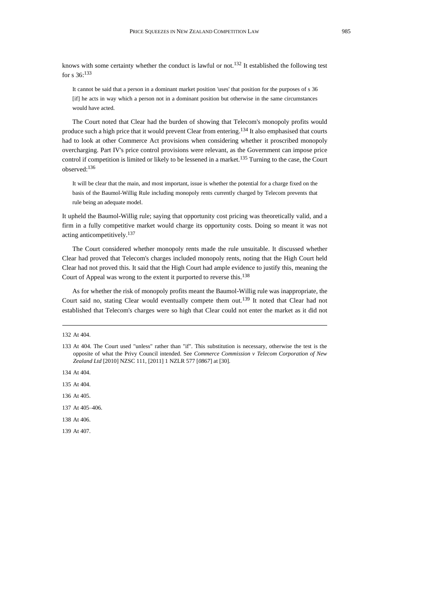knows with some certainty whether the conduct is lawful or not.<sup>132</sup> It established the following test for s 36:<sup>133</sup>

<span id="page-22-0"></span>It cannot be said that a person in a dominant market position 'uses' that position for the purposes of s 36 [if] he acts in way which a person not in a dominant position but otherwise in the same circumstances would have acted.

The Court noted that Clear had the burden of showing that Telecom's monopoly profits would produce such a high price that it would prevent Clear from entering.<sup>134</sup> It also emphasised that courts had to look at other Commerce Act provisions when considering whether it proscribed monopoly overcharging. Part IV's price control provisions were relevant, as the Government can impose price control if competition is limited or likely to be lessened in a market.<sup>135</sup> Turning to the case, the Court observed:<sup>136</sup>

It will be clear that the main, and most important, issue is whether the potential for a charge fixed on the basis of the Baumol-Willig Rule including monopoly rents currently charged by Telecom prevents that rule being an adequate model.

It upheld the Baumol-Willig rule; saying that opportunity cost pricing was theoretically valid, and a firm in a fully competitive market would charge its opportunity costs. Doing so meant it was not acting anticompetitively.<sup>137</sup>

The Court considered whether monopoly rents made the rule unsuitable. It discussed whether Clear had proved that Telecom's charges included monopoly rents, noting that the High Court held Clear had not proved this. It said that the High Court had ample evidence to justify this, meaning the Court of Appeal was wrong to the extent it purported to reverse this.<sup>138</sup>

As for whether the risk of monopoly profits meant the Baumol-Willig rule was inappropriate, the Court said no, stating Clear would eventually compete them out.<sup>139</sup> It noted that Clear had not established that Telecom's charges were so high that Clear could not enter the market as it did not

- 134 At 404.
- 135 At 404.
- 136 At 405.
- 137 At 405–406.
- 138 At 406.
- 139 At 407.

<sup>132</sup> At 404.

<sup>133</sup> At 404. The Court used "unless" rather than "if". This substitution is necessary, otherwise the test is the opposite of what the Privy Council intended. See *Commerce Commission v Telecom Corporation of New Zealand Ltd* [2010] NZSC 111, [2011] 1 NZLR 577 [*0867*] at [30].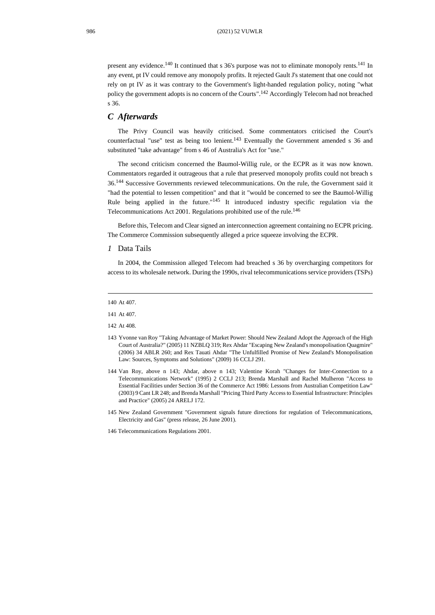present any evidence.<sup>140</sup> It continued that s 36's purpose was not to eliminate monopoly rents.<sup>141</sup> In any event, pt IV could remove any monopoly profits. It rejected Gault J's statement that one could not rely on pt IV as it was contrary to the Government's light-handed regulation policy, noting "what policy the government adopts is no concern of the Courts".<sup>142</sup> Accordingly Telecom had not breached s 36.

#### *C Afterwards*

<span id="page-23-0"></span>The Privy Council was heavily criticised. Some commentators criticised the Court's counterfactual "use" test as being too lenient.<sup>143</sup> Eventually the Government amended  $s$  36 and substituted "take advantage" from s 46 of Australia's Act for "use."

The second criticism concerned the Baumol-Willig rule, or the ECPR as it was now known. Commentators regarded it outrageous that a rule that preserved monopoly profits could not breach s 36. <sup>144</sup> Successive Governments reviewed telecommunications. On the rule, the Government said it "had the potential to lessen competition" and that it "would be concerned to see the Baumol-Willig Rule being applied in the future.<sup>"145</sup> It introduced industry specific regulation via the Telecommunications Act 2001. Regulations prohibited use of the rule.<sup>146</sup>

Before this, Telecom and Clear signed an interconnection agreement containing no ECPR pricing. The Commerce Commission subsequently alleged a price squeeze involving the ECPR.

*1* Data Tails

In 2004, the Commission alleged Telecom had breached s 36 by overcharging competitors for access to its wholesale network. During the 1990s, rival telecommunications service providers (TSPs)

- 143 Yvonne van Roy "Taking Advantage of Market Power: Should New Zealand Adopt the Approach of the High Court of Australia?" (2005) 11 NZBLQ 319; Rex Ahdar "Escaping New Zealand's monopolisation Quagmire" (2006) 34 ABLR 260; and Rex Tauati Ahdar "The Unfulfilled Promise of New Zealand's Monopolisation Law: Sources, Symptoms and Solutions" (2009) 16 CCLJ 291.
- 144 Van Roy, above n [143;](#page-23-0) Ahdar, above n [143;](#page-23-0) Valentine Korah "Changes for Inter-Connection to a Telecommunications Network" (1995) 2 CCLJ 213; Brenda Marshall and Rachel Mulheron "Access to Essential Facilities under Section 36 of the Commerce Act 1986: Lessons from Australian Competition Law" (2003) 9 Cant LR 248; and Brenda Marshall "Pricing Third Party Access to Essential Infrastructure: Principles and Practice" (2005) 24 ARELJ 172.
- 145 New Zealand Government "Government signals future directions for regulation of Telecommunications, Electricity and Gas" (press release, 26 June 2001).
- 146 Telecommunications Regulations 2001.

<sup>140</sup> At 407.

<sup>141</sup> At 407.

<sup>142</sup> At 408.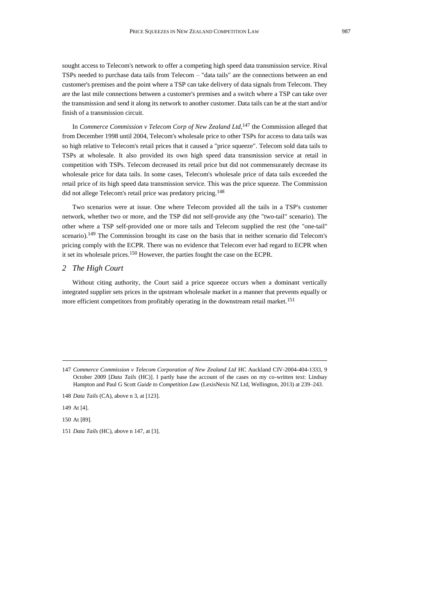sought access to Telecom's network to offer a competing high speed data transmission service. Rival TSPs needed to purchase data tails from Telecom – "data tails" are the connections between an end customer's premises and the point where a TSP can take delivery of data signals from Telecom. They are the last mile connections between a customer's premises and a switch where a TSP can take over the transmission and send it along its network to another customer. Data tails can be at the start and/or finish of a transmission circuit.

<span id="page-24-0"></span>In *Commerce Commission v Telecom Corp of New Zealand Ltd*,<sup>147</sup> the Commission alleged that from December 1998 until 2004, Telecom's wholesale price to other TSPs for access to data tails was so high relative to Telecom's retail prices that it caused a "price squeeze". Telecom sold data tails to TSPs at wholesale. It also provided its own high speed data transmission service at retail in competition with TSPs. Telecom decreased its retail price but did not commensurately decrease its wholesale price for data tails. In some cases, Telecom's wholesale price of data tails exceeded the retail price of its high speed data transmission service. This was the price squeeze. The Commission did not allege Telecom's retail price was predatory pricing.<sup>148</sup>

Two scenarios were at issue. One where Telecom provided all the tails in a TSP's customer network, whether two or more, and the TSP did not self-provide any (the "two-tail" scenario). The other where a TSP self-provided one or more tails and Telecom supplied the rest (the "one-tail" scenario).<sup>149</sup> The Commission brought its case on the basis that in neither scenario did Telecom's pricing comply with the ECPR. There was no evidence that Telecom ever had regard to ECPR when it set its wholesale prices.<sup>150</sup> However, the parties fought the case on the ECPR.

#### *2 The High Court*

Without citing authority, the Court said a price squeeze occurs when a dominant vertically integrated supplier sets prices in the upstream wholesale market in a manner that prevents equally or more efficient competitors from profitably operating in the downstream retail market.<sup>151</sup>

149 At [4].

<sup>147</sup> *Commerce Commission v Telecom Corporation of New Zealand Ltd* HC Auckland CIV-2004-404-1333, 9 October 2009 [*Data Tails* (HC)]. I partly base the account of the cases on my co-written text: Lindsay Hampton and Paul G Scott *Guide to Competition Law* (LexisNexis NZ Ltd, Wellington, 2013) at 239–243.

<sup>148</sup> *Data Tails* (CA), above [n 3,](#page-1-1) at [123].

<sup>150</sup> At [89].

<sup>151</sup> *Data Tails* (HC), above [n 147,](#page-24-0) at [3].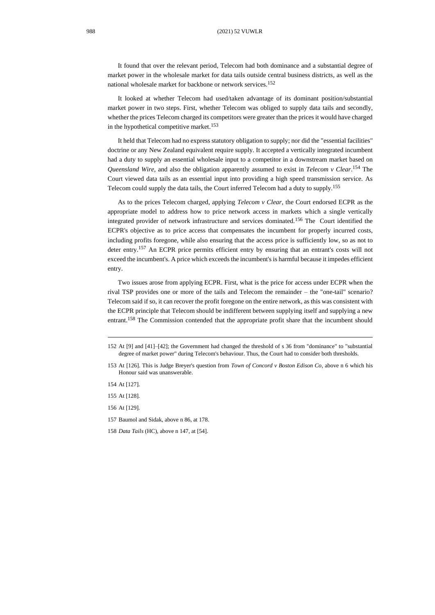It found that over the relevant period, Telecom had both dominance and a substantial degree of market power in the wholesale market for data tails outside central business districts, as well as the national wholesale market for backbone or network services.<sup>152</sup>

It looked at whether Telecom had used/taken advantage of its dominant position/substantial market power in two steps. First, whether Telecom was obliged to supply data tails and secondly, whether the prices Telecom charged its competitors were greater than the prices it would have charged in the hypothetical competitive market.<sup>153</sup>

It held that Telecom had no express statutory obligation to supply; nor did the "essential facilities" doctrine or any New Zealand equivalent require supply. It accepted a vertically integrated incumbent had a duty to supply an essential wholesale input to a competitor in a downstream market based on *Queensland Wire*, and also the obligation apparently assumed to exist in *Telecom v Clear*. <sup>154</sup> The Court viewed data tails as an essential input into providing a high speed transmission service. As Telecom could supply the data tails, the Court inferred Telecom had a duty to supply.<sup>155</sup>

As to the prices Telecom charged, applying *Telecom v Clear*, the Court endorsed ECPR as the appropriate model to address how to price network access in markets which a single vertically integrated provider of network infrastructure and services dominated. <sup>156</sup> The Court identified the ECPR's objective as to price access that compensates the incumbent for properly incurred costs, including profits foregone, while also ensuring that the access price is sufficiently low, so as not to deter entry.<sup>157</sup> An ECPR price permits efficient entry by ensuring that an entrant's costs will not exceed the incumbent's. A price which exceeds the incumbent's is harmful because it impedes efficient entry.

Two issues arose from applying ECPR. First, what is the price for access under ECPR when the rival TSP provides one or more of the tails and Telecom the remainder – the "one-tail" scenario? Telecom said if so, it can recover the profit foregone on the entire network, as this was consistent with the ECPR principle that Telecom should be indifferent between supplying itself and supplying a new entrant.<sup>158</sup> The Commission contended that the appropriate profit share that the incumbent should

<sup>152</sup> At [9] and [41]–[42]; the Government had changed the threshold of s 36 from "dominance" to "substantial degree of market power" during Telecom's behaviour. Thus, the Court had to consider both thresholds.

<sup>153</sup> At [126]. This is Judge Breyer's question from *Town of Concord v Boston Edison Co*, above [n 6](#page-2-0) which his Honour said was unanswerable.

<sup>154</sup> At [127].

<sup>155</sup> At [128].

<sup>156</sup> At [129].

<sup>157</sup> Baumol and Sidak, above [n 86,](#page-15-0) at 178.

<sup>158</sup> *Data Tails* (HC), above [n 147,](#page-24-0) at [54].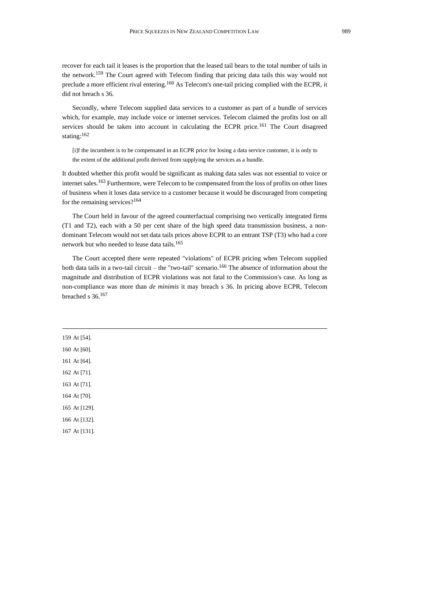recover for each tail it leases is the proportion that the leased tail bears to the total number of tails in the network.<sup>159</sup> The Court agreed with Telecom finding that pricing data tails this way would not preclude a more efficient rival entering.<sup>160</sup> As Telecom's one-tail pricing complied with the ECPR, it did not breach s 36.

Secondly, where Telecom supplied data services to a customer as part of a bundle of services which, for example, may include voice or internet services. Telecom claimed the profits lost on all services should be taken into account in calculating the ECPR price.<sup>161</sup> The Court disagreed stating: 162

[i]f the incumbent is to be compensated in an ECPR price for losing a data service customer, it is only to the extent of the additional profit derived from supplying the services as a bundle.

It doubted whether this profit would be significant as making data sales was not essential to voice or internet sales.<sup>163</sup> Furthermore, were Telecom to be compensated from the loss of profits on other lines of business when it loses data service to a customer because it would be discouraged from competing for the remaining services?<sup>164</sup>

The Court held in favour of the agreed counterfactual comprising two vertically integrated firms (T1 and T2), each with a 50 per cent share of the high speed data transmission business, a nondominant Telecom would not set data tails prices above ECPR to an entrant TSP (T3) who had a core network but who needed to lease data tails.<sup>165</sup>

The Court accepted there were repeated "violations" of ECPR pricing when Telecom supplied both data tails in a two-tail circuit – the "two-tail" scenario.<sup>166</sup> The absence of information about the magnitude and distribution of ECPR violations was not fatal to the Commission's case. As long as non-compliance was more than *de minimis* it may breach s 36. In pricing above ECPR, Telecom breached s 36.<sup>167</sup>

159 At [54]. 160 At [60]. 161 At [64]. 162 At [71]. 163 At [71]. 164 At [70]. 165 At [129]. 166 At [132]. 167 At [131].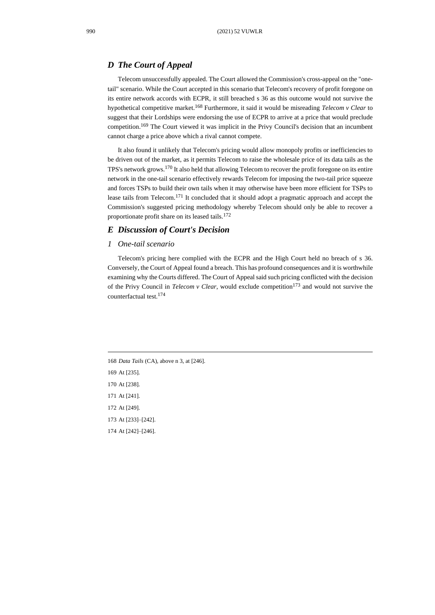### *D The Court of Appeal*

Telecom unsuccessfully appealed. The Court allowed the Commission's cross-appeal on the "onetail" scenario. While the Court accepted in this scenario that Telecom's recovery of profit foregone on its entire network accords with ECPR, it still breached s 36 as this outcome would not survive the hypothetical competitive market.<sup>168</sup> Furthermore, it said it would be misreading *Telecom v Clear* to suggest that their Lordships were endorsing the use of ECPR to arrive at a price that would preclude competition.<sup>169</sup> The Court viewed it was implicit in the Privy Council's decision that an incumbent cannot charge a price above which a rival cannot compete.

It also found it unlikely that Telecom's pricing would allow monopoly profits or inefficiencies to be driven out of the market, as it permits Telecom to raise the wholesale price of its data tails as the TPS's network grows.<sup>170</sup> It also held that allowing Telecom to recover the profit foregone on its entire network in the one-tail scenario effectively rewards Telecom for imposing the two-tail price squeeze and forces TSPs to build their own tails when it may otherwise have been more efficient for TSPs to lease tails from Telecom.<sup>171</sup> It concluded that it should adopt a pragmatic approach and accept the Commission's suggested pricing methodology whereby Telecom should only be able to recover a proportionate profit share on its leased tails.<sup>172</sup>

## *E Discussion of Court's Decision*

#### *1 One-tail scenario*

Telecom's pricing here complied with the ECPR and the High Court held no breach of s 36. Conversely, the Court of Appeal found a breach. This has profound consequences and it is worthwhile examining why the Courts differed. The Court of Appeal said such pricing conflicted with the decision of the Privy Council in *Telecom v Clear*, would exclude competition<sup>173</sup> and would not survive the counterfactual test.<sup>174</sup>

 *Data Tails* (CA), above [n 3,](#page-1-1) at [246]. At [235]. At [238]. At [241]. At [249]. At [233]–[242]. At [242]–[246].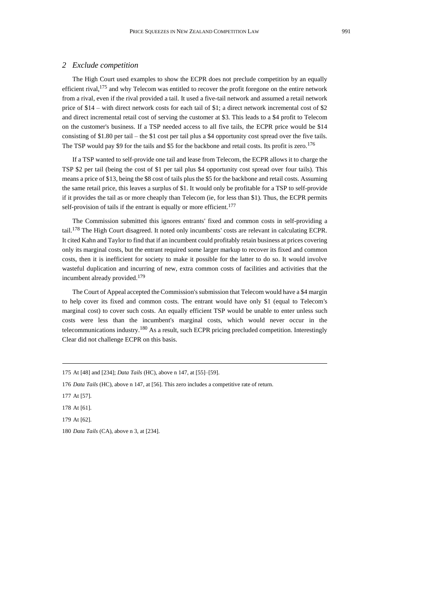#### *2 Exclude competition*

The High Court used examples to show the ECPR does not preclude competition by an equally efficient rival,<sup>175</sup> and why Telecom was entitled to recover the profit foregone on the entire network from a rival, even if the rival provided a tail. It used a five-tail network and assumed a retail network price of \$14 – with direct network costs for each tail of \$1; a direct network incremental cost of \$2 and direct incremental retail cost of serving the customer at \$3. This leads to a \$4 profit to Telecom on the customer's business. If a TSP needed access to all five tails, the ECPR price would be \$14 consisting of \$1.80 per tail – the \$1 cost per tail plus a \$4 opportunity cost spread over the five tails. The TSP would pay \$9 for the tails and \$5 for the backbone and retail costs. Its profit is zero.<sup>176</sup>

If a TSP wanted to self-provide one tail and lease from Telecom, the ECPR allows it to charge the TSP \$2 per tail (being the cost of \$1 per tail plus \$4 opportunity cost spread over four tails). This means a price of \$13, being the \$8 cost of tails plus the \$5 for the backbone and retail costs. Assuming the same retail price, this leaves a surplus of \$1. It would only be profitable for a TSP to self-provide if it provides the tail as or more cheaply than Telecom (ie, for less than \$1). Thus, the ECPR permits self-provision of tails if the entrant is equally or more efficient.<sup>177</sup>

The Commission submitted this ignores entrants' fixed and common costs in self-providing a tail.<sup>178</sup> The High Court disagreed. It noted only incumbents' costs are relevant in calculating ECPR. It cited Kahn and Taylor to find that if an incumbent could profitably retain business at prices covering only its marginal costs, but the entrant required some larger markup to recover its fixed and common costs, then it is inefficient for society to make it possible for the latter to do so. It would involve wasteful duplication and incurring of new, extra common costs of facilities and activities that the incumbent already provided.<sup>179</sup>

The Court of Appeal accepted the Commission's submission that Telecom would have a \$4 margin to help cover its fixed and common costs. The entrant would have only \$1 (equal to Telecom's marginal cost) to cover such costs. An equally efficient TSP would be unable to enter unless such costs were less than the incumbent's marginal costs, which would never occur in the telecommunications industry.<sup>180</sup> As a result, such ECPR pricing precluded competition. Interestingly Clear did not challenge ECPR on this basis.

<sup>175</sup> At [48] and [234]; *Data Tails* (HC), above [n 147,](#page-24-0) at [55]–[59].

<sup>176</sup> *Data Tails* (HC), above [n 147,](#page-24-0) at [56]. This zero includes a competitive rate of return.

<sup>177</sup> At [57].

<sup>178</sup> At [61].

<sup>179</sup> At [62].

<sup>180</sup> *Data Tails* (CA), above [n 3,](#page-1-1) at [234].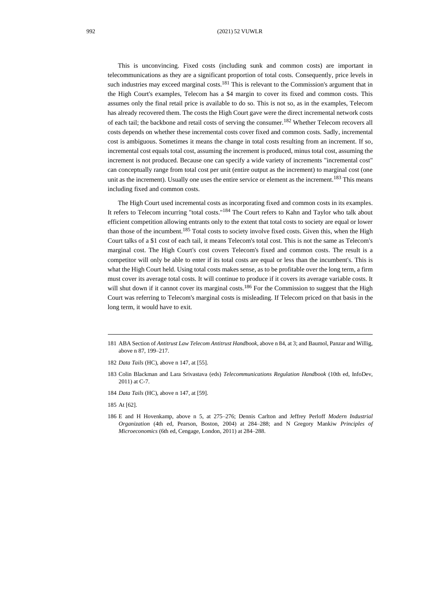This is unconvincing. Fixed costs (including sunk and common costs) are important in telecommunications as they are a significant proportion of total costs. Consequently, price levels in such industries may exceed marginal costs.<sup>181</sup> This is relevant to the Commission's argument that in the High Court's examples, Telecom has a \$4 margin to cover its fixed and common costs. This assumes only the final retail price is available to do so. This is not so, as in the examples, Telecom has already recovered them. The costs the High Court gave were the direct incremental network costs of each tail; the backbone and retail costs of serving the consumer.<sup>182</sup> Whether Telecom recovers all costs depends on whether these incremental costs cover fixed and common costs. Sadly, incremental cost is ambiguous. Sometimes it means the change in total costs resulting from an increment. If so, incremental cost equals total cost, assuming the increment is produced, minus total cost, assuming the increment is not produced. Because one can specify a wide variety of increments "incremental cost" can conceptually range from total cost per unit (entire output as the increment) to marginal cost (one unit as the increment). Usually one uses the entire service or element as the increment.<sup>183</sup> This means including fixed and common costs.

The High Court used incremental costs as incorporating fixed and common costs in its examples. It refers to Telecom incurring "total costs."<sup>184</sup> The Court refers to Kahn and Taylor who talk about efficient competition allowing entrants only to the extent that total costs to society are equal or lower than those of the incumbent.<sup>185</sup> Total costs to society involve fixed costs. Given this, when the High Court talks of a \$1 cost of each tail, it means Telecom's total cost. This is not the same as Telecom's marginal cost. The High Court's cost covers Telecom's fixed and common costs. The result is a competitor will only be able to enter if its total costs are equal or less than the incumbent's. This is what the High Court held. Using total costs makes sense, as to be profitable over the long term, a firm must cover its average total costs. It will continue to produce if it covers its average variable costs. It will shut down if it cannot cover its marginal costs.<sup>186</sup> For the Commission to suggest that the High Court was referring to Telecom's marginal costs is misleading. If Telecom priced on that basis in the long term, it would have to exit.

<sup>181</sup> ABA Section of *Antitrust Law Telecom Antitrust Handbook*, above [n 84,](#page-15-1) at 3; and Baumol, Panzar and Willig, above [n 87,](#page-16-0) 199–217.

<sup>182</sup> *Data Tails* (HC), above [n 147,](#page-24-0) at [55].

<sup>183</sup> Colin Blackman and Lara Srivastava (eds) *Telecommunications Regulation Handbook* (10th ed, InfoDev, 2011) at C-7.

<sup>184</sup> *Data Tails* (HC), above [n 147,](#page-24-0) at [59].

<sup>185</sup> At [62].

<sup>186</sup> E and H Hovenkamp, above n [5,](#page-2-1) at 275–276; Dennis Carlton and Jeffrey Perloff *Modern Industrial Organization* (4th ed, Pearson, Boston, 2004) at 284–288; and N Gregory Mankiw *Principles of Microeconomics* (6th ed, Cengage, London, 2011) at 284–288.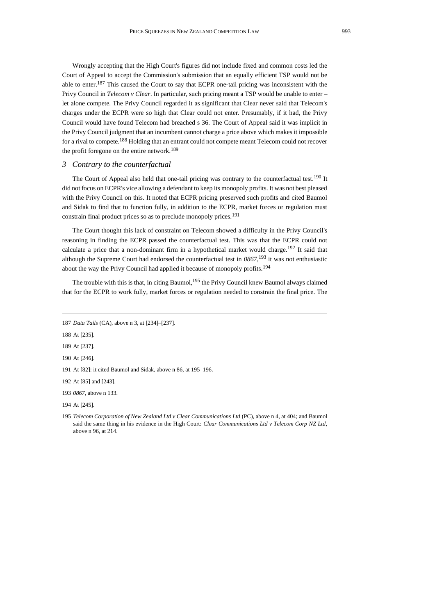Wrongly accepting that the High Court's figures did not include fixed and common costs led the Court of Appeal to accept the Commission's submission that an equally efficient TSP would not be able to enter.<sup>187</sup> This caused the Court to say that ECPR one-tail pricing was inconsistent with the Privy Council in *Telecom v Clear*. In particular, such pricing meant a TSP would be unable to enter – let alone compete. The Privy Council regarded it as significant that Clear never said that Telecom's charges under the ECPR were so high that Clear could not enter. Presumably, if it had, the Privy Council would have found Telecom had breached s 36. The Court of Appeal said it was implicit in the Privy Council judgment that an incumbent cannot charge a price above which makes it impossible for a rival to compete.<sup>188</sup> Holding that an entrant could not compete meant Telecom could not recover the profit foregone on the entire network.<sup>189</sup>

#### *3 Contrary to the counterfactual*

The Court of Appeal also held that one-tail pricing was contrary to the counterfactual test.<sup>190</sup> It did not focus on ECPR's vice allowing a defendant to keep its monopoly profits. It was not best pleased with the Privy Council on this. It noted that ECPR pricing preserved such profits and cited Baumol and Sidak to find that to function fully, in addition to the ECPR, market forces or regulation must constrain final product prices so as to preclude monopoly prices.<sup>191</sup>

The Court thought this lack of constraint on Telecom showed a difficulty in the Privy Council's reasoning in finding the ECPR passed the counterfactual test. This was that the ECPR could not calculate a price that a non-dominant firm in a hypothetical market would charge.<sup>192</sup> It said that although the Supreme Court had endorsed the counterfactual test in *0867*, <sup>193</sup> it was not enthusiastic about the way the Privy Council had applied it because of monopoly profits.<sup>194</sup>

The trouble with this is that, in citing Baumol,  $195$  the Privy Council knew Baumol always claimed that for the ECPR to work fully, market forces or regulation needed to constrain the final price. The

188 At [235].

189 At [237].

192 At [85] and [243].

194 At [245].

<sup>187</sup> *Data Tails* (CA), above [n 3,](#page-1-1) at [234]–[237].

<sup>190</sup> At [246].

<sup>191</sup> At [82]: it cited Baumol and Sidak, above n [86,](#page-15-0) at 195–196.

<sup>193</sup> *0867*, above [n 133.](#page-22-0)

<sup>195</sup> *Telecom Corporation of New Zealand Ltd v Clear Communications Ltd* (PC)*,* above [n 4,](#page-1-0) at 404; and Baumol said the same thing in his evidence in the High Court: *Clear Communications Ltd v Telecom Corp NZ Ltd*, above [n 96,](#page-18-0) at 214.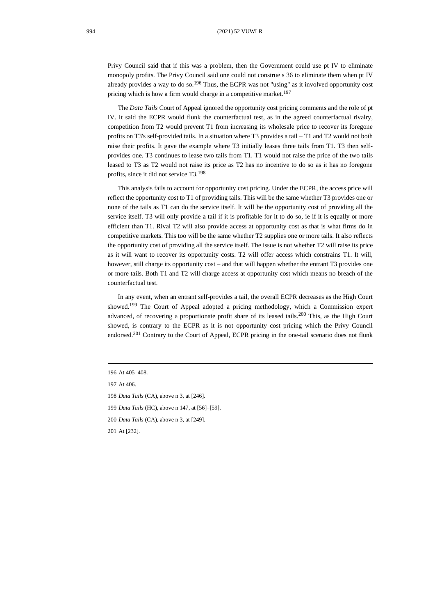Privy Council said that if this was a problem, then the Government could use pt IV to eliminate monopoly profits. The Privy Council said one could not construe s 36 to eliminate them when pt IV already provides a way to do so.<sup>196</sup> Thus, the ECPR was not "using" as it involved opportunity cost pricing which is how a firm would charge in a competitive market.<sup>197</sup>

The *Data Tails* Court of Appeal ignored the opportunity cost pricing comments and the role of pt IV. It said the ECPR would flunk the counterfactual test, as in the agreed counterfactual rivalry, competition from T2 would prevent T1 from increasing its wholesale price to recover its foregone profits on T3's self-provided tails. In a situation where T3 provides a tail – T1 and T2 would not both raise their profits. It gave the example where T3 initially leases three tails from T1. T3 then selfprovides one. T3 continues to lease two tails from T1. T1 would not raise the price of the two tails leased to T3 as T2 would not raise its price as T2 has no incentive to do so as it has no foregone profits, since it did not service T3.<sup>198</sup>

This analysis fails to account for opportunity cost pricing. Under the ECPR, the access price will reflect the opportunity cost to T1 of providing tails. This will be the same whether T3 provides one or none of the tails as T1 can do the service itself. It will be the opportunity cost of providing all the service itself. T3 will only provide a tail if it is profitable for it to do so, ie if it is equally or more efficient than T1. Rival T2 will also provide access at opportunity cost as that is what firms do in competitive markets. This too will be the same whether T2 supplies one or more tails. It also reflects the opportunity cost of providing all the service itself. The issue is not whether T2 will raise its price as it will want to recover its opportunity costs. T2 will offer access which constrains T1. It will, however, still charge its opportunity cost – and that will happen whether the entrant T3 provides one or more tails. Both T1 and T2 will charge access at opportunity cost which means no breach of the counterfactual test.

In any event, when an entrant self-provides a tail, the overall ECPR decreases as the High Court showed.<sup>199</sup> The Court of Appeal adopted a pricing methodology, which a Commission expert advanced, of recovering a proportionate profit share of its leased tails.<sup>200</sup> This, as the High Court showed, is contrary to the ECPR as it is not opportunity cost pricing which the Privy Council endorsed.<sup>201</sup> Contrary to the Court of Appeal, ECPR pricing in the one-tail scenario does not flunk

<sup>196</sup> At 405–408.

<sup>197</sup> At 406.

<sup>198</sup> *Data Tails* (CA), above [n 3,](#page-1-1) at [246].

<sup>199</sup> *Data Tails* (HC), above [n 147,](#page-24-0) at [56]–[59].

<sup>200</sup> *Data Tails* (CA), above [n 3,](#page-1-1) at [249].

<sup>201</sup> At [232].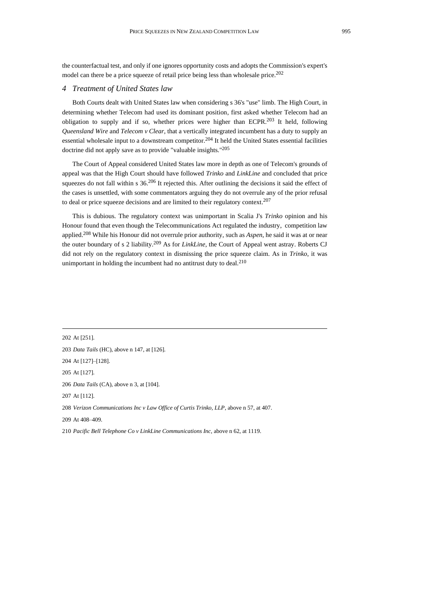the counterfactual test, and only if one ignores opportunity costs and adopts the Commission's expert's model can there be a price squeeze of retail price being less than wholesale price.<sup>202</sup>

#### *4 Treatment of United States law*

Both Courts dealt with United States law when considering s 36's "use" limb. The High Court, in determining whether Telecom had used its dominant position, first asked whether Telecom had an obligation to supply and if so, whether prices were higher than ECPR.<sup>203</sup> It held, following *Queensland Wire* and *Telecom v Clear*, that a vertically integrated incumbent has a duty to supply an essential wholesale input to a downstream competitor.<sup>204</sup> It held the United States essential facilities doctrine did not apply save as to provide "valuable insights." 205

The Court of Appeal considered United States law more in depth as one of Telecom's grounds of appeal was that the High Court should have followed *Trinko* and *LinkLine* and concluded that price squeezes do not fall within s  $36.206$  It rejected this. After outlining the decisions it said the effect of the cases is unsettled, with some commentators arguing they do not overrule any of the prior refusal to deal or price squeeze decisions and are limited to their regulatory context.<sup>207</sup>

This is dubious. The regulatory context was unimportant in Scalia J's *Trinko* opinion and his Honour found that even though the Telecommunications Act regulated the industry, competition law applied.<sup>208</sup> While his Honour did not overrule prior authority, such as *Aspen*, he said it was at or near the outer boundary of s 2 liability.<sup>209</sup> As for *LinkLine*, the Court of Appeal went astray. Roberts CJ did not rely on the regulatory context in dismissing the price squeeze claim. As in *Trinko*, it was unimportant in holding the incumbent had no antitrust duty to deal.<sup>210</sup>

 At [251]. *Data Tails* (HC), above [n 147,](#page-24-0) at [126]. At [127]–[128]. At [127]. *Data Tails* (CA), above [n 3,](#page-1-1) at [104]. At [112]. *Verizon Communications Inc v Law Office of Curtis Trinko, LLP*, above [n 57,](#page-10-0) at 407. At 408–409.

210 *Pacific Bell Telephone Co v LinkLine Communications Inc*, above n [62,](#page-11-0) at 1119.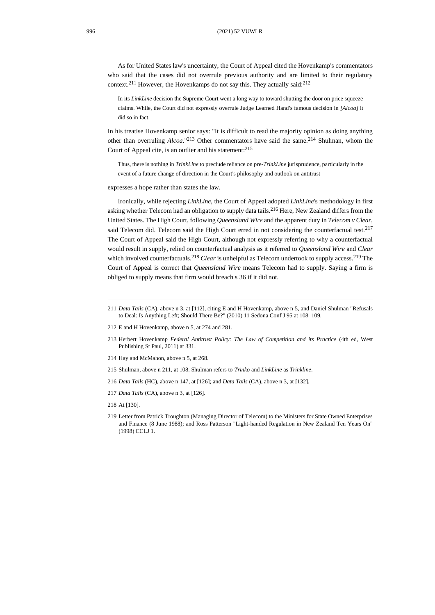As for United States law's uncertainty, the Court of Appeal cited the Hovenkamp's commentators who said that the cases did not overrule previous authority and are limited to their regulatory context.<sup>211</sup> However, the Hovenkamps do not say this. They actually said:<sup>212</sup>

<span id="page-33-0"></span>In its *LinkLine* decision the Supreme Court went a long way to toward shutting the door on price squeeze claims. While, the Court did not expressly overrule Judge Learned Hand's famous decision in *[Alcoa]* it did so in fact.

In his treatise Hovenkamp senior says: "It is difficult to read the majority opinion as doing anything other than overruling *Alcoa*." <sup>213</sup> Other commentators have said the same.<sup>214</sup> Shulman, whom the Court of Appeal cite, is an outlier and his statement:  $2^{15}$ 

Thus, there is nothing in *TrinkLine* to preclude reliance on pre-*TrinkLine* jurisprudence, particularly in the event of a future change of direction in the Court's philosophy and outlook on antitrust

expresses a hope rather than states the law.

Ironically, while rejecting *LinkLine*, the Court of Appeal adopted *LinkLine*'s methodology in first asking whether Telecom had an obligation to supply data tails.<sup>216</sup> Here, New Zealand differs from the United States. The High Court, following *Queensland Wire* and the apparent duty in *Telecom v Clear*, said Telecom did. Telecom said the High Court erred in not considering the counterfactual test.<sup>217</sup> The Court of Appeal said the High Court, although not expressly referring to why a counterfactual would result in supply, relied on counterfactual analysis as it referred to *Queensland Wire* and *Clear* which involved counterfactuals.<sup>218</sup> *Clear* is unhelpful as Telecom undertook to supply access.<sup>219</sup> The Court of Appeal is correct that *Queensland Wire* means Telecom had to supply. Saying a firm is obliged to supply means that firm would breach s 36 if it did not.

- 212 E and H Hovenkamp, above n [5,](#page-2-1) at 274 and 281.
- 213 Herbert Hovenkamp *Federal Antitrust Policy: The Law of Competition and its Practice* (4th ed, West Publishing St Paul, 2011) at 331.
- 214 Hay and McMahon, above [n 5,](#page-2-1) at 268.
- 215 Shulman, above n [211,](#page-33-0) at 108. Shulman refers to *Trinko* and *LinkLine* as *Trinkline*.
- 216 *Data Tails* (HC), above [n 147,](#page-24-0) at [126]; and *Data Tails* (CA), above [n 3,](#page-1-1) at [132].
- 217 *Data Tails* (CA), above [n 3,](#page-1-1) at [126].
- 218 At [130].
- 219 Letter from Patrick Troughton (Managing Director of Telecom) to the Ministers for State Owned Enterprises and Finance (8 June 1988); and Ross Patterson "Light-handed Regulation in New Zealand Ten Years On" (1998) CCLJ 1.

<sup>211</sup> *Data Tails* (CA), above [n 3,](#page-1-1) at [112], citing E and H Hovenkamp, above [n 5,](#page-2-1) and Daniel Shulman "Refusals to Deal: Is Anything Left; Should There Be?" (2010) 11 Sedona Conf J 95 at 108–109.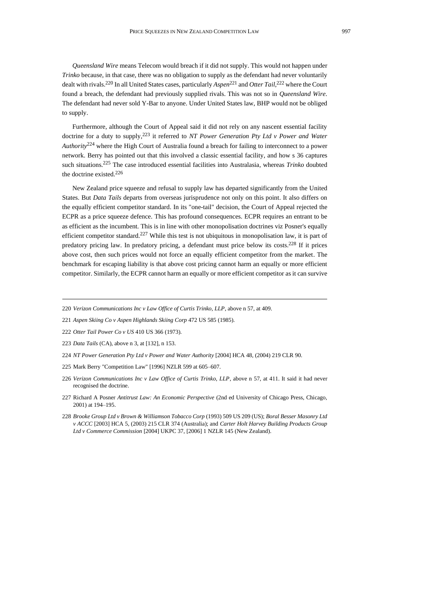*Queensland Wire* means Telecom would breach if it did not supply. This would not happen under *Trinko* because, in that case, there was no obligation to supply as the defendant had never voluntarily dealt with rivals.<sup>220</sup> In all United States cases, particularly *Aspen*<sup>221</sup> and *Otter Tail*, <sup>222</sup> where the Court found a breach, the defendant had previously supplied rivals. This was not so in *Queensland Wire*. The defendant had never sold Y-Bar to anyone. Under United States law, BHP would not be obliged to supply.

Furthermore, although the Court of Appeal said it did not rely on any nascent essential facility doctrine for a duty to supply, <sup>223</sup> it referred to *NT Power Generation Pty Ltd v Power and Water Authority*<sup>224</sup> where the High Court of Australia found a breach for failing to interconnect to a power network. Berry has pointed out that this involved a classic essential facility, and how s 36 captures such situations.<sup>225</sup> The case introduced essential facilities into Australasia, whereas *Trinko* doubted the doctrine existed.<sup>226</sup>

New Zealand price squeeze and refusal to supply law has departed significantly from the United States. But *Data Tails* departs from overseas jurisprudence not only on this point. It also differs on the equally efficient competitor standard. In its "one-tail" decision, the Court of Appeal rejected the ECPR as a price squeeze defence. This has profound consequences. ECPR requires an entrant to be as efficient as the incumbent. This is in line with other monopolisation doctrines viz Posner's equally efficient competitor standard.<sup>227</sup> While this test is not ubiquitous in monopolisation law, it is part of predatory pricing law. In predatory pricing, a defendant must price below its costs.<sup>228</sup> If it prices above cost, then such prices would not force an equally efficient competitor from the market. The benchmark for escaping liability is that above cost pricing cannot harm an equally or more efficient competitor. Similarly, the ECPR cannot harm an equally or more efficient competitor as it can survive

- 220 *Verizon Communications Inc v Law Office of Curtis Trinko, LLP*, above [n 57,](#page-10-0) at 409.
- 221 *Aspen Skiing Co v Aspen Highlands Skiing Corp* 472 US 585 (1985).
- 222 *Otter Tail Power Co v US* 410 US 366 (1973).
- 223 *Data Tails* (CA), above [n 3,](#page-1-1) at [132], n 153.
- 224 *NT Power Generation Pty Ltd v Power and Water Authority* [2004] HCA 48, (2004) 219 CLR 90.
- 225 Mark Berry "Competition Law" [1996] NZLR 599 at 605–607.
- 226 *Verizon Communications Inc v Law Office of Curtis Trinko, LLP*, above n [57,](#page-10-0) at 411. It said it had never recognised the doctrine.
- 227 Richard A Posner *Antitrust Law: An Economic Perspective* (2nd ed University of Chicago Press, Chicago, 2001) at 194–195.
- 228 *Brooke Group Ltd v Brown & Williamson Tobacco Corp* (1993) 509 US 209 (US); *Boral Besser Masonry Ltd v ACCC* [2003] HCA 5, (2003) 215 CLR 374 (Australia); and *Carter Holt Harvey Building Products Group Ltd v Commerce Commission* [2004] UKPC 37, [2006] 1 NZLR 145 (New Zealand).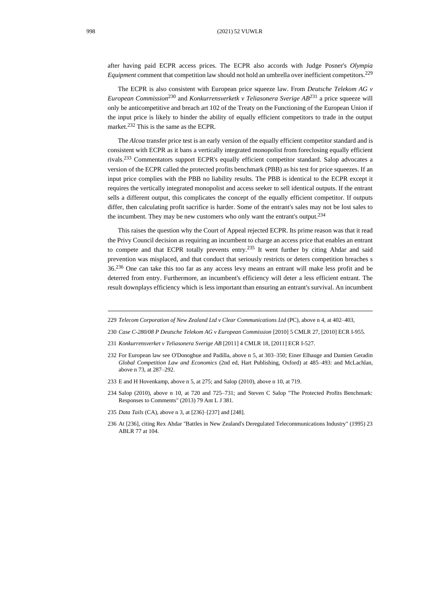998 (2021) 52 VUWLR

after having paid ECPR access prices. The ECPR also accords with Judge Posner's *Olympia Equipment* comment that competition law should not hold an umbrella over inefficient competitors.<sup>229</sup>

The ECPR is also consistent with European price squeeze law. From *Deutsche Telekom AG v European Commission*<sup>230</sup> and *Konkurrensverketk v Teliasonera Sverige AB*<sup>231</sup> a price squeeze will only be anticompetitive and breach art 102 of the Treaty on the Functioning of the European Union if the input price is likely to hinder the ability of equally efficient competitors to trade in the output market.<sup>232</sup> This is the same as the ECPR.

The *Alcoa* transfer price test is an early version of the equally efficient competitor standard and is consistent with ECPR as it bans a vertically integrated monopolist from foreclosing equally efficient rivals.<sup>233</sup> Commentators support ECPR's equally efficient competitor standard. Salop advocates a version of the ECPR called the protected profits benchmark (PBB) as his test for price squeezes. If an input price complies with the PBB no liability results. The PBB is identical to the ECPR except it requires the vertically integrated monopolist and access seeker to sell identical outputs. If the entrant sells a different output, this complicates the concept of the equally efficient competitor. If outputs differ, then calculating profit sacrifice is harder. Some of the entrant's sales may not be lost sales to the incumbent. They may be new customers who only want the entrant's output.<sup>234</sup>

This raises the question why the Court of Appeal rejected ECPR. Its prime reason was that it read the Privy Council decision as requiring an incumbent to charge an access price that enables an entrant to compete and that ECPR totally prevents entry.<sup>235</sup> It went further by citing Ahdar and said prevention was misplaced, and that conduct that seriously restricts or deters competition breaches s 36.<sup>236</sup> One can take this too far as any access levy means an entrant will make less profit and be deterred from entry. Furthermore, an incumbent's efficiency will deter a less efficient entrant. The result downplays efficiency which is less important than ensuring an entrant's survival. An incumbent

- 230 *Case C-280/08 P Deutsche Telekom AG v European Commission* [2010] 5 CMLR 27, [2010] ECR I-955.
- 231 *Konkurrensverket v Teliasonera Sverige AB* [2011] 4 CMLR 18, [2011] ECR I-527.
- 232 For European law see O'Donoghue and Padilla, above n [5,](#page-2-1) at 303–350; Einer Elhauge and Damien Geradin *Global Competition Law and Economics* (2nd ed, Hart Publishing, Oxford) at 485–493: and McLachlan, above [n 73,](#page-13-0) at 287–292.
- 233 E and H Hovenkamp, above n [5,](#page-2-1) at 275; and Salop (2010), above n [10,](#page-3-0) at 719.
- 234 Salop (2010), above n [10,](#page-3-0) at 720 and 725–731; and Steven C Salop "The Protected Profits Benchmark: Responses to Comments" (2013) 79 Ant L J 381.
- 235 *Data Tails* (CA), above [n 3,](#page-1-1) at [236]–[237] and [248].
- 236 At [236], citing Rex Ahdar "Battles in New Zealand's Deregulated Telecommunications Industry" (1995) 23 ABLR 77 at 104.

<sup>229</sup> *Telecom Corporation of New Zealand Ltd v Clear Communications Ltd* (PC), above n [4,](#page-1-0) at 402–403,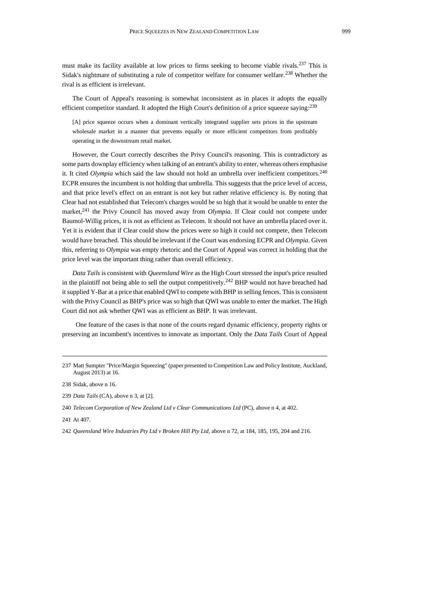must make its facility available at low prices to firms seeking to become viable rivals.<sup>237</sup> This is Sidak's nightmare of substituting a rule of competitor welfare for consumer welfare.<sup>238</sup> Whether the rival is as efficient is irrelevant.

The Court of Appeal's reasoning is somewhat inconsistent as in places it adopts the equally efficient competitor standard. It adopted the High Court's definition of a price squeeze saying:<sup>239</sup>

[A] price squeeze occurs when a dominant vertically integrated supplier sets prices in the upstream wholesale market in a manner that prevents equally or more efficient competitors from profitably operating in the downstream retail market.

However, the Court correctly describes the Privy Council's reasoning. This is contradictory as some parts downplay efficiency when talking of an entrant's ability to enter, whereas others emphasise it. It cited *Olympia* which said the law should not hold an umbrella over inefficient competitors.<sup>240</sup> ECPR ensures the incumbent is not holding that umbrella. This suggests that the price level of access, and that price level's effect on an entrant is not key but rather relative efficiency is. By noting that Clear had not established that Telecom's charges would be so high that it would be unable to enter the market,<sup>241</sup> the Privy Council has moved away from *Olympia*. If Clear could not compete under Baumol-Willig prices, it is not as efficient as Telecom. It should not have an umbrella placed over it. Yet it is evident that if Clear could show the prices were so high it could not compete, then Telecom would have breached. This should be irrelevant if the Court was endorsing ECPR and *Olympia*. Given this, referring to *Olympia* was empty rhetoric and the Court of Appeal was correct in holding that the price level was the important thing rather than overall efficiency.

*Data Tails* is consistent with *Queensland Wire* as the High Court stressed the input's price resulted in the plaintiff not being able to sell the output competitively.<sup>242</sup> BHP would not have breached had it supplied Y-Bar at a price that enabled QWI to compete with BHP in selling fences. This is consistent with the Privy Council as BHP's price was so high that QWI was unable to enter the market. The High Court did not ask whether QWI was as efficient as BHP. It was irrelevant.

 One feature of the cases is that none of the courts regard dynamic efficiency, property rights or preserving an incumbent's incentives to innovate as important. Only the *Data Tails* Court of Appeal

<sup>237</sup> Matt Sumpter "Price/Margin Squeezing" (paper presented to Competition Law and Policy Institute, Auckland, August 2013) at 16.

<sup>238</sup> Sidak, above [n 16.](#page-4-0) 

<sup>239</sup> *Data Tails* (CA), above [n 3,](#page-1-1) at [2].

<sup>240</sup> *Telecom Corporation of New Zealand Ltd v Clear Communications Ltd* (PC), above [n 4,](#page-1-0) at 402.

<sup>241</sup> At 407.

<sup>242</sup> *Queensland Wire Industries Pty Ltd v Broken Hill Pty Ltd*, above [n 72,](#page-13-1) at 184, 185, 195, 204 and 216.